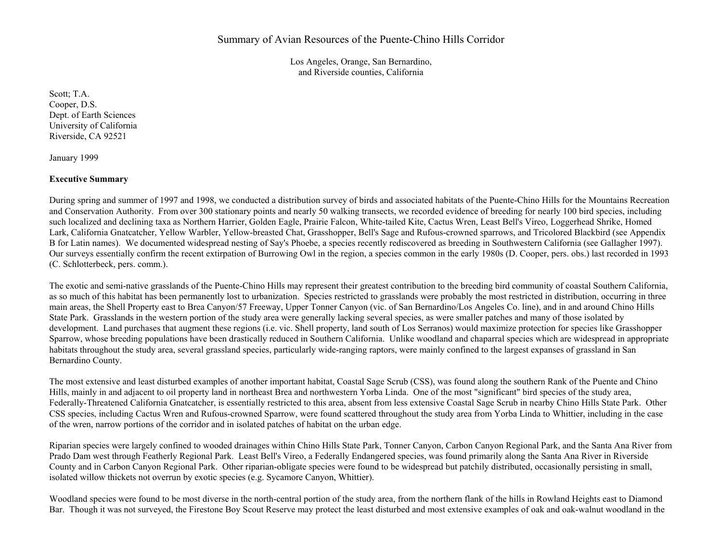Los Angeles, Orange, San Bernardino, and Riverside counties, California

Scott; T.A. Cooper, D.S. Dept. of Earth Sciences University of California Riverside, CA 92521

January 1999

# **Executive Summary**

During spring and summer of 1997 and 1998, we conducted a distribution survey of birds and associated habitats of the Puente-Chino Hills for the Mountains Recreation and Conservation Authority. From over 300 stationary points and nearly 50 walking transects, we recorded evidence of breeding for nearly 100 bird species, including such localized and declining taxa as Northern Harrier, Golden Eagle, Prairie Falcon, White-tailed Kite, Cactus Wren, Least Bell's Vireo, Loggerhead Shrike, Homed Lark, California Gnatcatcher, Yellow Warbler, Yellow-breasted Chat, Grasshopper, Bell's Sage and Rufous-crowned sparrows, and Tricolored Blackbird (see Appendix B for Latin names). We documented widespread nesting of Say's Phoebe, a species recently rediscovered as breeding in Southwestern California (see Gallagher 1997). Our surveys essentially confirm the recent extirpation of Burrowing Owl in the region, a species common in the early 1980s (D. Cooper, pers. obs.) last recorded in 1993 (C. Schlotterbeck, pers. comm.).

The exotic and semi-native grasslands of the Puente-Chino Hills may represent their greatest contribution to the breeding bird community of coastal Southern California, as so much of this habitat has been permanently lost to urbanization. Species restricted to grasslands were probably the most restricted in distribution, occurring in three main areas, the Shell Property east to Brea Canyon/57 Freeway, Upper Tonner Canyon (vic. of San Bernardino/Los Angeles Co. line), and in and around Chino Hills State Park. Grasslands in the western portion of the study area were generally lacking several species, as were smaller patches and many of those isolated by development. Land purchases that augment these regions (i.e. vic. Shell property, land south of Los Serranos) would maximize protection for species like Grasshopper Sparrow, whose breeding populations have been drastically reduced in Southern California. Unlike woodland and chaparral species which are widespread in appropriate habitats throughout the study area, several grassland species, particularly wide-ranging raptors, were mainly confined to the largest expanses of grassland in San Bernardino County.

The most extensive and least disturbed examples of another important habitat, Coastal Sage Scrub (CSS), was found along the southern Rank of the Puente and Chino Hills, mainly in and adjacent to oil property land in northeast Brea and northwestern Yorba Linda. One of the most "significant" bird species of the study area, Federally-Threatened California Gnatcatcher, is essentially restricted to this area, absent from less extensive Coastal Sage Scrub in nearby Chino Hills State Park. Other CSS species, including Cactus Wren and Rufous-crowned Sparrow, were found scattered throughout the study area from Yorba Linda to Whittier, including in the case of the wren, narrow portions of the corridor and in isolated patches of habitat on the urban edge.

Riparian species were largely confined to wooded drainages within Chino Hills State Park, Tonner Canyon, Carbon Canyon Regional Park, and the Santa Ana River from Prado Dam west through Featherly Regional Park. Least Bell's Vireo, a Federally Endangered species, was found primarily along the Santa Ana River in Riverside County and in Carbon Canyon Regional Park. Other riparian-obligate species were found to be widespread but patchily distributed, occasionally persisting in small, isolated willow thickets not overrun by exotic species (e.g. Sycamore Canyon, Whittier).

Woodland species were found to be most diverse in the north-central portion of the study area, from the northern flank of the hills in Rowland Heights east to Diamond Bar. Though it was not surveyed, the Firestone Boy Scout Reserve may protect the least disturbed and most extensive examples of oak and oak-walnut woodland in the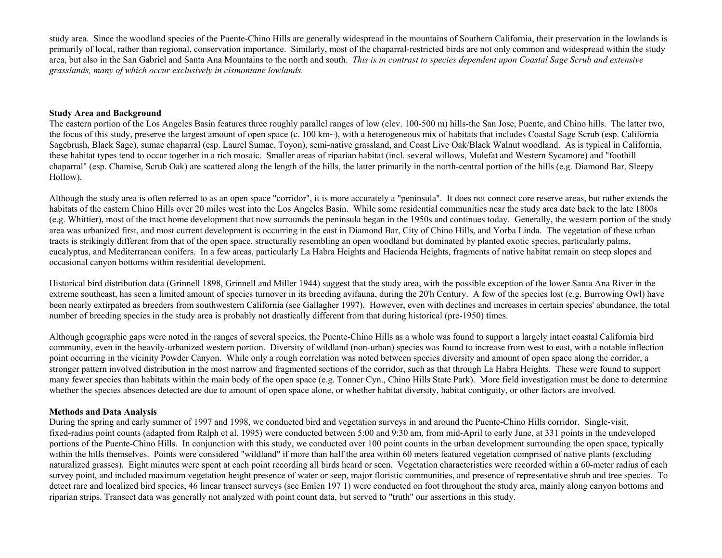study area. Since the woodland species of the Puente-Chino Hills are generally widespread in the mountains of Southern California, their preservation in the lowlands is primarily of local, rather than regional, conservation importance. Similarly, most of the chaparral-restricted birds are not only common and widespread within the study area, but also in the San Gabriel and Santa Ana Mountains to the north and south. *This is in contrast to species dependent upon Coastal Sage Scrub and extensive grasslands, many of which occur exclusively in cismontane lowlands.*

#### **Study Area and Background**

The eastern portion of the Los Angeles Basin features three roughly parallel ranges of low (elev. 100-500 m) hills-the San Jose, Puente, and Chino hills. The latter two, the focus of this study, preserve the largest amount of open space (c. 100 km~), with a heterogeneous mix of habitats that includes Coastal Sage Scrub (esp. California Sagebrush, Black Sage), sumac chaparral (esp. Laurel Sumac, Toyon), semi-native grassland, and Coast Live Oak/Black Walnut woodland. As is typical in California, these habitat types tend to occur together in a rich mosaic. Smaller areas of riparian habitat (incl. several willows, Mulefat and Western Sycamore) and "foothill chaparral" (esp. Chamise, Scrub Oak) are scattered along the length of the hills, the latter primarily in the north-central portion of the hills (e.g. Diamond Bar, Sleepy Hollow).

Although the study area is often referred to as an open space "corridor", it is more accurately a "peninsula". It does not connect core reserve areas, but rather extends the habitats of the eastern Chino Hills over 20 miles west into the Los Angeles Basin. While some residential communities near the study area date back to the late 1800s (e.g. Whittier), most of the tract home development that now surrounds the peninsula began in the 1950s and continues today. Generally, the western portion of the study area was urbanized first, and most current development is occurring in the east in Diamond Bar, City of Chino Hills, and Yorba Linda. The vegetation of these urban tracts is strikingly different from that of the open space, structurally resembling an open woodland but dominated by planted exotic species, particularly palms, eucalyptus, and Mediterranean conifers. In a few areas, particularly La Habra Heights and Hacienda Heights, fragments of native habitat remain on steep slopes and occasional canyon bottoms within residential development.

Historical bird distribution data (Grinnell 1898, Grinnell and Miller 1944) suggest that the study area, with the possible exception of the lower Santa Ana River in the extreme southeast, has seen a limited amount of species turnover in its breeding avifauna, during the 20'h Century. A few of the species lost (e.g. Burrowing Owl) have been nearly extirpated as breeders from southwestern California (see Gallagher 1997). However, even with declines and increases in certain species' abundance, the total number of breeding species in the study area is probably not drastically different from that during historical (pre-1950) times.

Although geographic gaps were noted in the ranges of several species, the Puente-Chino Hills as a whole was found to support a largely intact coastal California bird community, even in the heavily-urbanized western portion. Diversity of wildland (non-urban) species was found to increase from west to east, with a notable inflection point occurring in the vicinity Powder Canyon. While only a rough correlation was noted between species diversity and amount of open space along the corridor, a stronger pattern involved distribution in the most narrow and fragmented sections of the corridor, such as that through La Habra Heights. These were found to support many fewer species than habitats within the main body of the open space (e.g. Tonner Cyn., Chino Hills State Park). More field investigation must be done to determine whether the species absences detected are due to amount of open space alone, or whether habitat diversity, habitat contiguity, or other factors are involved.

# **Methods and Data Analysis**

During the spring and early summer of 1997 and 1998, we conducted bird and vegetation surveys in and around the Puente-Chino Hills corridor. Single-visit, fixed-radius point counts (adapted from Ralph et al. 1995) were conducted between 5:00 and 9:30 am, from mid-April to early June, at 331 points in the undeveloped portions of the Puente-Chino Hills. In conjunction with this study, we conducted over 100 point counts in the urban development surrounding the open space, typically within the hills themselves. Points were considered "wildland" if more than half the area within 60 meters featured vegetation comprised of native plants (excluding naturalized grasses). Eight minutes were spent at each point recording all birds heard or seen. Vegetation characteristics were recorded within a 60-meter radius of each survey point, and included maximum vegetation height presence of water or seep, major floristic communities, and presence of representative shrub and tree species. To detect rare and localized bird species, 46 linear transect surveys (see Emlen 197 1) were conducted on foot throughout the study area, mainly along canyon bottoms and riparian strips. Transect data was generally not analyzed with point count data, but served to "truth" our assertions in this study.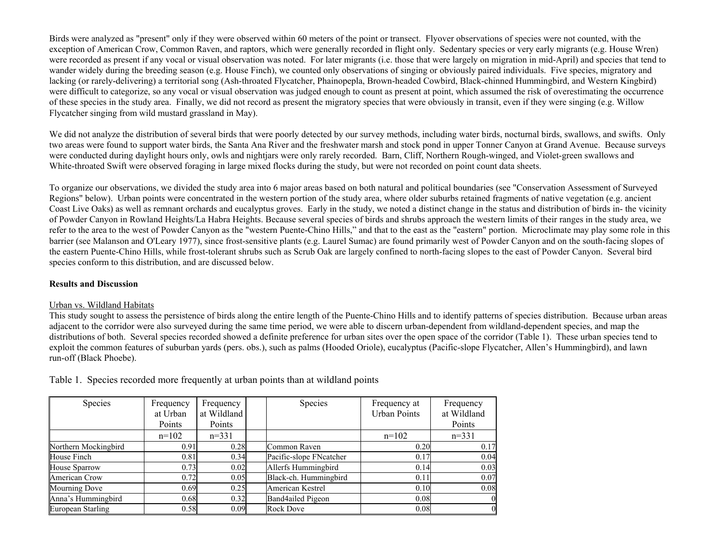Birds were analyzed as "present" only if they were observed within 60 meters of the point or transect. Flyover observations of species were not counted, with the exception of American Crow, Common Raven, and raptors, which were generally recorded in flight only. Sedentary species or very early migrants (e.g. House Wren) were recorded as present if any vocal or visual observation was noted. For later migrants (i.e. those that were largely on migration in mid-April) and species that tend to wander widely during the breeding season (e.g. House Finch), we counted only observations of singing or obviously paired individuals. Five species, migratory and lacking (or rarely-delivering) a territorial song (Ash-throated Flycatcher, Phainopepla, Brown-headed Cowbird, Black-chinned Hummingbird, and Western Kingbird) were difficult to categorize, so any vocal or visual observation was judged enough to count as present at point, which assumed the risk of overestimating the occurrence of these species in the study area. Finally, we did not record as present the migratory species that were obviously in transit, even if they were singing (e.g. Willow Flycatcher singing from wild mustard grassland in May).

We did not analyze the distribution of several birds that were poorly detected by our survey methods, including water birds, nocturnal birds, swallows, and swifts. Only two areas were found to support water birds, the Santa Ana River and the freshwater marsh and stock pond in upper Tonner Canyon at Grand Avenue. Because surveys were conducted during daylight hours only, owls and nightjars were only rarely recorded. Barn, Cliff, Northern Rough-winged, and Violet-green swallows and White-throated Swift were observed foraging in large mixed flocks during the study, but were not recorded on point count data sheets.

To organize our observations, we divided the study area into 6 major areas based on both natural and political boundaries (see "Conservation Assessment of Surveyed Regions" below). Urban points were concentrated in the western portion of the study area, where older suburbs retained fragments of native vegetation (e.g. ancient Coast Live Oaks) as well as remnant orchards and eucalyptus groves. Early in the study, we noted a distinct change in the status and distribution of birds in- the vicinity of Powder Canyon in Rowland Heights/La Habra Heights. Because several species of birds and shrubs approach the western limits of their ranges in the study area, we refer to the area to the west of Powder Canyon as the "western Puente-Chino Hills," and that to the east as the "eastern" portion. Microclimate may play some role in this barrier (see Malanson and O'Leary 1977), since frost-sensitive plants (e.g. Laurel Sumac) are found primarily west of Powder Canyon and on the south-facing slopes of the eastern Puente-Chino Hills, while frost-tolerant shrubs such as Scrub Oak are largely confined to north-facing slopes to the east of Powder Canyon. Several bird species conform to this distribution, and are discussed below.

# **Results and Discussion**

# Urban vs. Wildland Habitats

This study sought to assess the persistence of birds along the entire length of the Puente-Chino Hills and to identify patterns of species distribution. Because urban areas adjacent to the corridor were also surveyed during the same time period, we were able to discern urban-dependent from wildland-dependent species, and map the distributions of both. Several species recorded showed a definite preference for urban sites over the open space of the corridor (Table 1). These urban species tend to exploit the common features of suburban yards (pers. obs.), such as palms (Hooded Oriole), eucalyptus (Pacific-slope Flycatcher, Allen's Hummingbird), and lawn run-off (Black Phoebe).

| Species              | Frequency<br>at Urban | Frequency<br>at Wildland | Species                 | Frequency at<br><b>Urban Points</b> | Frequency<br>at Wildland |  |  |  |
|----------------------|-----------------------|--------------------------|-------------------------|-------------------------------------|--------------------------|--|--|--|
|                      | Points                | Points                   |                         |                                     | Points                   |  |  |  |
|                      | $n=102$               | $n=331$                  |                         | $n=102$                             | $n=331$                  |  |  |  |
| Northern Mockingbird | 0.91                  | 0.28                     | Common Raven            | 0.20                                | 0.17                     |  |  |  |
| House Finch          | 0.81                  | 0.34                     | Pacific-slope FNcatcher | 0.17                                | 0.04                     |  |  |  |
| <b>House Sparrow</b> | 0.73                  | 0.02                     | Allerfs Hummingbird     | 0.14                                | 0.03                     |  |  |  |
| American Crow        | 0.72                  | 0.05                     | Black-ch. Hummingbird   | 0.11                                | 0.07                     |  |  |  |
| Mourning Dove        | 0.69                  | 0.25                     | American Kestrel        | 0.10                                | 0.08                     |  |  |  |
| Anna's Hummingbird   | 0.68                  | 0.32                     | Band4ailed Pigeon       | 0.08                                |                          |  |  |  |
| European Starling    | 0.58                  | 0.09                     | <b>Rock Dove</b>        | 0.08                                |                          |  |  |  |

Table 1. Species recorded more frequently at urban points than at wildland points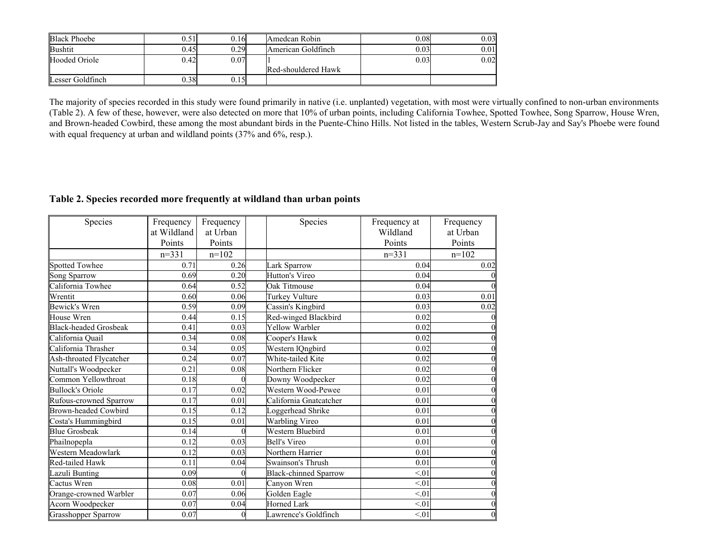| <b>Black Phoebe</b> | 0.51 | 0.16 | Amedcan Robin       | 0.08 | 0.03 |
|---------------------|------|------|---------------------|------|------|
| <b>Bushtit</b>      | 0.45 | 0.29 | American Goldfinch  | 0.03 | 0.01 |
| Hooded Oriole       | 0.42 | 0.07 |                     | 0.03 | 0.02 |
|                     |      |      | Red-shouldered Hawk |      |      |
| Lesser Goldfinch    | 0.38 | 0.15 |                     |      |      |

The majority of species recorded in this study were found primarily in native (i.e. unplanted) vegetation, with most were virtually confined to non-urban environments (Table 2). A few of these, however, were also detected on more that 10% of urban points, including California Towhee, Spotted Towhee, Song Sparrow, House Wren, and Brown-headed Cowbird, these among the most abundant birds in the Puente-Chino Hills. Not listed in the tables, Western Scrub-Jay and Say's Phoebe were found with equal frequency at urban and wildland points (37% and 6%, resp.).

# **Table 2. Species recorded more frequently at wildland than urban points**

| Species                      | Frequency   | Frequency         | Species                      | Frequency at | Frequency      |
|------------------------------|-------------|-------------------|------------------------------|--------------|----------------|
|                              | at Wildland | at Urban          |                              | Wildland     | at Urban       |
|                              | Points      | Points            |                              | Points       | Points         |
|                              | $n=331$     | $n=102$           |                              | $n=331$      | $n=102$        |
| Spotted Towhee               | 0.71        | 0.26              | Lark Sparrow                 | 0.04         | 0.02           |
| Song Sparrow                 | 0.69        | 0.20              | Hutton's Vireo               | 0.04         |                |
| California Towhee            | 0.64        | 0.52              | Oak Titmouse                 | 0.04         | $\theta$       |
| Wrentit                      | 0.60        | 0.06              | Turkey Vulture               | 0.03         | 0.01           |
| <b>Bewick's Wren</b>         | 0.59        | 0.09              | Cassin's Kingbird            | 0.03         | 0.02           |
| House Wren                   | 0.44        | 0.15              | Red-winged Blackbird         | 0.02         | $\theta$       |
| <b>Black-headed Grosbeak</b> | 0.41        | 0.03              | <b>Yellow Warbler</b>        | 0.02         | $\theta$       |
| California Quail             | 0.34        | 0.08              | Cooper's Hawk                | 0.02         | $\theta$       |
| California Thrasher          | 0.34        | 0.05              | Western lQngbird             | 0.02         | $\overline{0}$ |
| Ash-throated Flycatcher      | 0.24        | 0.07              | White-tailed Kite            | 0.02         | $\Omega$       |
| Nuttall's Woodpecker         | 0.21        | 0.08              | Northern Flicker             | 0.02         | $\theta$       |
| Common Yellowthroat          | 0.18        | 0                 | Downy Woodpecker             | 0.02         | $\Omega$       |
| <b>Bullock's Oriole</b>      | 0.17        | 0.02              | Western Wood-Pewee           | 0.01         | $\theta$       |
| Rufous-crowned Sparrow       | 0.17        | 0.01              | California Gnatcatcher       | 0.01         | $\Omega$       |
| <b>Brown-headed Cowbird</b>  | 0.15        | 0.12              | Loggerhead Shrike            | 0.01         | $\Omega$       |
| Costa's Hummingbird          | 0.15        | 0.01              | Warbling Vireo               | 0.01         | $\overline{0}$ |
| <b>Blue Grosbeak</b>         | 0.14        | $\Omega$          | <b>Western Bluebird</b>      | 0.01         | $\overline{0}$ |
| Phailnopepla                 | 0.12        | 0.03              | <b>Bell's Vireo</b>          | 0.01         | $\overline{0}$ |
| Western Meadowlark           | 0.12        | 0.03              | Northern Harrier             | 0.01         | $\theta$       |
| Red-tailed Hawk              | 0.11        | 0.04              | Swainson's Thrush            | 0.01         | $\overline{0}$ |
| Lazuli Bunting               | 0.09        | $\Omega$          | <b>Black-chinned Sparrow</b> | < 01         | $\overline{0}$ |
| Cactus Wren                  | 0.08        | $\overline{0.01}$ | Canyon Wren                  | < 01         | $\theta$       |
| Orange-crowned Warbler       | 0.07        | 0.06              | Golden Eagle                 | < 01         | $\theta$       |
| Acorn Woodpecker             | 0.07        | 0.04              | <b>Horned Lark</b>           | < 01         | $\overline{0}$ |
| Grasshopper Sparrow          | 0.07        | 0                 | Lawrence's Goldfinch         | < 01         | $\theta$       |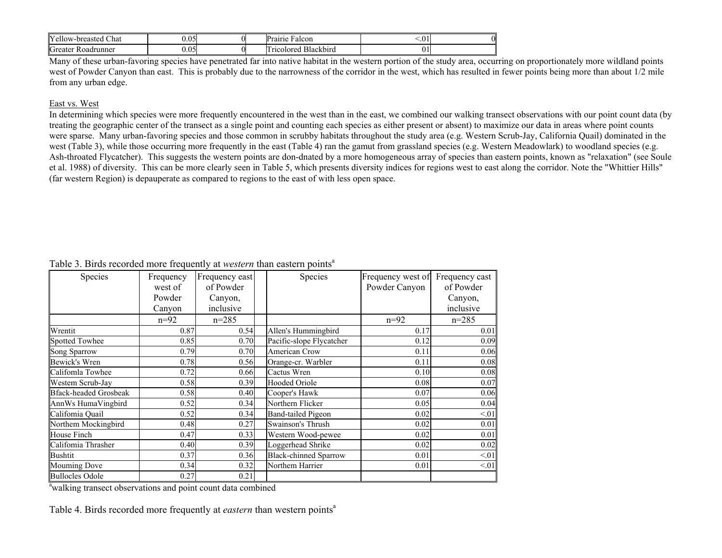| IV.<br>$\sim$<br>Chat<br>-breasted<br>r ellow | .05   |  | 01110<br>Falcon<br>id.                          | .v 1         |  |
|-----------------------------------------------|-------|--|-------------------------------------------------|--------------|--|
| Greater<br>Roadrunner                         | 0.051 |  | $\mathbf{r}$<br>Blackbirg<br>$.11 \text{color}$ | $\mathbf{v}$ |  |

Many of these urban-favoring species have penetrated far into native habitat in the western portion of the study area, occurring on proportionately more wildland points west of Powder Canyon than east. This is probably due to the narrowness of the corridor in the west, which has resulted in fewer points being more than about 1/2 mile from any urban edge.

# East vs. West

In determining which species were more frequently encountered in the west than in the east, we combined our walking transect observations with our point count data (by treating the geographic center of the transect as a single point and counting each species as either present or absent) to maximize our data in areas where point counts were sparse. Many urban-favoring species and those common in scrubby habitats throughout the study area (e.g. Western Scrub-Jay, California Quail) dominated in the west (Table 3), while those occurring more frequently in the east (Table 4) ran the gamut from grassland species (e.g. Western Meadowlark) to woodland species (e.g. Ash-throated Flycatcher). This suggests the western points are don-dnated by a more homogeneous array of species than eastern points, known as "relaxation" (see Soule et al. 1988) of diversity. This can be more clearly seen in Table 5, which presents diversity indices for regions west to east along the corridor. Note the "Whittier Hills" (far western Region) is depauperate as compared to regions to the east of with less open space.

| Species                      | Frequency | Frequency east | Species                      | Frequency west of | Frequency cast |
|------------------------------|-----------|----------------|------------------------------|-------------------|----------------|
|                              | west of   | of Powder      |                              | Powder Canyon     | of Powder      |
|                              | Powder    | Canyon,        |                              |                   | Canyon,        |
|                              | Canyon    | inclusive      |                              |                   | inclusive      |
|                              | $n=92$    | $n = 285$      |                              | $n=92$            | $n = 285$      |
| Wrentit                      | 0.87      | 0.54           | Allen's Hummingbird          | 0.17              | 0.01           |
| <b>Spotted Towhee</b>        | 0.85      | 0.70           | Pacific-slope Flycatcher     | 0.12              | 0.09           |
| Song Sparrow                 | 0.79      | 0.70           | American Crow                | 0.11              | 0.06           |
| Bewick's Wren                | 0.78      | 0.56           | Orange-cr. Warbler           | 0.11              | 0.08           |
| Califomla Towhee             | 0.72      | 0.66           | Cactus Wren                  | 0.10              | 0.08           |
| Westem Scrub-Jay             | 0.58      | 0.39           | Hooded Oriole                | 0.08              | 0.07           |
| <b>Bfack-headed Grosbeak</b> | 0.58      | 0.40           | Cooper's Hawk                | 0.07              | 0.06           |
| AnnWs HumaVingbird           | 0.52      | 0.34           | Northern Flicker             | 0.05              | 0.04           |
| Califomia Quail              | 0.52      | 0.34           | Band-tailed Pigeon           | 0.02              | < 01           |
| Northem Mockingbird          | 0.48      | 0.27           | Swainson's Thrush            | 0.02              | 0.01           |
| House Finch                  | 0.47      | 0.33           | Western Wood-pewee           | 0.02              | 0.01           |
| Califomia Thrasher           | 0.40      | 0.39           | Loggerhead Shrike            | 0.02              | 0.02           |
| <b>Bushtit</b>               | 0.37      | 0.36           | <b>Black-chinned Sparrow</b> | 0.01              | < 01           |
| Mouming Dove                 | 0.34      | 0.32           | Northem Harrier              | 0.01              | < 01           |
| <b>Bullocles Odole</b>       | 0.27      | 0.21           |                              |                   |                |

# Table 3. Birds recorded more frequently at *western* than eastern points<sup>a</sup>

<sup>a</sup>walking transect observations and point count data combined

Table 4. Birds recorded more frequently at *eastern* than western points<sup>a</sup>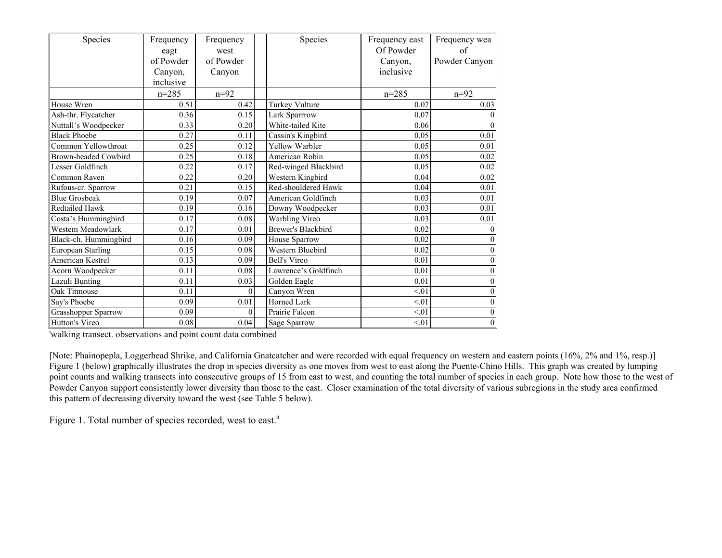| Species                     | Frequency | Frequency | Species              | Frequency east | Frequency wea     |
|-----------------------------|-----------|-----------|----------------------|----------------|-------------------|
|                             | eagt      | west      |                      | Of Powder      | of                |
|                             | of Powder | of Powder |                      | Canyon,        | Powder Canyon     |
|                             | Canyon,   | Canyon    |                      | inclusive      |                   |
|                             | inclusive |           |                      |                |                   |
|                             | $n = 285$ | $n=92$    |                      | $n = 285$      | $n=92$            |
| House Wren                  | 0.51      | 0.42      | Turkey Vulture       | 0.07           | 0.03              |
| Ash-thr. Flycatcher         | 0.36      | 0.15      | Lark Sparrrow        | 0.07           |                   |
| Nuttall's Woodpecker        | 0.33      | 0.20      | White-tailed Kite    | 0.06           | $\theta$          |
| <b>Black Phoebe</b>         | 0.27      | 0.11      | Cassin's Kingbird    | 0.05           | $\overline{0.01}$ |
| Common Yellowthroat         | 0.25      | 0.12      | Yellow Warbler       | 0.05           | 0.01              |
| <b>Brown-headed Cowbird</b> | 0.25      | 0.18      | American Robin       | 0.05           | 0.02              |
| Lesser Goldfinch            | 0.22      | 0.17      | Red-winged Blackbird | 0.05           | 0.02              |
| Common Raven                | 0.22      | 0.20      | Western Kingbird     | 0.04           | 0.02              |
| Rufous-cr. Sparrow          | 0.21      | 0.15      | Red-shouldered Hawk  | 0.04           | 0.01              |
| <b>Blue Grosbeak</b>        | 0.19      | 0.07      | American Goldfinch   | 0.03           | 0.01              |
| Redtailed Hawk              | 0.19      | 0.16      | Downy Woodpecker     | 0.03           | 0.01              |
| Costa's Hummingbird         | 0.17      | 0.08      | Warbling Vireo       | 0.03           | 0.01              |
| Westem Meadowlark           | 0.17      | 0.01      | Brewer's Blackbird   | 0.02           |                   |
| Black-ch. Hummingbird       | 0.16      | 0.09      | House Sparrow        | 0.02           |                   |
| <b>European Starling</b>    | 0.15      | 0.08      | Western Bluebird     | 0.02           |                   |
| American Kestrel            | 0.13      | 0.09      | <b>Bell's Vireo</b>  | 0.01           | $\Omega$          |
| Acorn Woodpecker            | 0.11      | 0.08      | Lawrence's Goldfinch | 0.01           |                   |
| Lazuli Bunting              | 0.11      | 0.03      | Golden Eagle         | 0.01           | $\Omega$          |
| Oak Titmouse                | 0.11      | $\theta$  | Canyon Wren          | < 01           | $\theta$          |
| Say's Phoebe                | 0.09      | 0.01      | Horned Lark          | < 01           | $\theta$          |
| Grasshopper Sparrow         | 0.09      | $\theta$  | Prairie Falcon       | < 01           | $\theta$          |
| Hutton's Vireo              | 0.08      | 0.04      | Sage Sparrow         | < 01           | $\mathbf{0}$      |

'walking transect. observations and point count data combined

[Note: Phainopepla, Loggerhead Shrike, and California Gnatcatcher and were recorded with equal frequency on western and eastern points (16%, 2% and 1%, resp.)] Figure 1 (below) graphically illustrates the drop in species diversity as one moves from west to east along the Puente-Chino Hills. This graph was created by lumping point counts and walking transects into consecutive groups of 15 from east to west, and counting the total number of species in each group. Note how those to the west of Powder Canyon support consistently lower diversity than those to the east. Closer examination of the total diversity of various subregions in the study area confirmed this pattern of decreasing diversity toward the west (see Table 5 below).

Figure 1. Total number of species recorded, west to east.<sup>a</sup>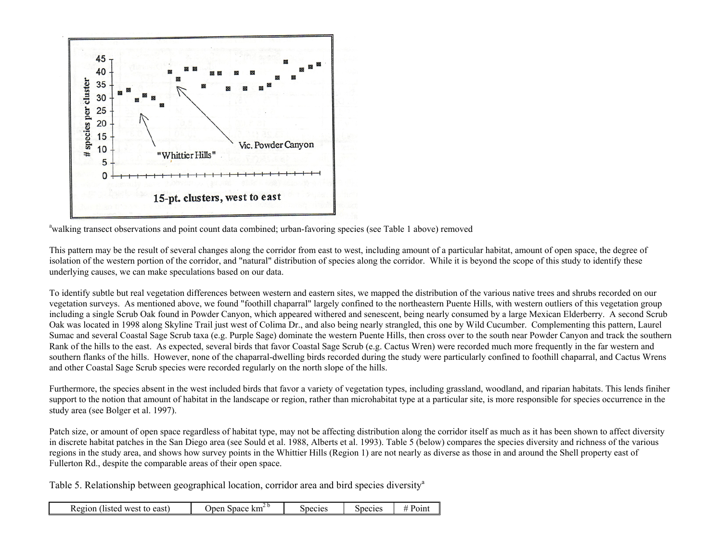

<sup>a</sup>walking transect observations and point count data combined; urban-favoring species (see Table 1 above) removed

This pattern may be the result of several changes along the corridor from east to west, including amount of a particular habitat, amount of open space, the degree of isolation of the western portion of the corridor, and "natural" distribution of species along the corridor. While it is beyond the scope of this study to identify these underlying causes, we can make speculations based on our data.

To identify subtle but real vegetation differences between western and eastern sites, we mapped the distribution of the various native trees and shrubs recorded on our vegetation surveys. As mentioned above, we found "foothill chaparral" largely confined to the northeastern Puente Hills, with western outliers of this vegetation group including a single Scrub Oak found in Powder Canyon, which appeared withered and senescent, being nearly consumed by a large Mexican Elderberry. A second Scrub Oak was located in 1998 along Skyline Trail just west of Colima Dr., and also being nearly strangled, this one by Wild Cucumber. Complementing this pattern, Laurel Sumac and several Coastal Sage Scrub taxa (e.g. Purple Sage) dominate the western Puente Hills, then cross over to the south near Powder Canyon and track the southern Rank of the hills to the east. As expected, several birds that favor Coastal Sage Scrub (e.g. Cactus Wren) were recorded much more frequently in the far western and southern flanks of the hills. However, none of the chaparral-dwelling birds recorded during the study were particularly confined to foothill chaparral, and Cactus Wrens and other Coastal Sage Scrub species were recorded regularly on the north slope of the hills.

Furthermore, the species absent in the west included birds that favor a variety of vegetation types, including grassland, woodland, and riparian habitats. This lends finiher support to the notion that amount of habitat in the landscape or region, rather than microhabitat type at a particular site, is more responsible for species occurrence in the study area (see Bolger et al. 1997).

Patch size, or amount of open space regardless of habitat type, may not be affecting distribution along the corridor itself as much as it has been shown to affect diversity in discrete habitat patches in the San Diego area (see Sould et al. 1988, Alberts et al. 1993). Table 5 (below) compares the species diversity and richness of the various regions in the study area, and shows how survey points in the Whittier Hills (Region 1) are not nearly as diverse as those in and around the Shell property east of Fullerton Rd., despite the comparable areas of their open space.

Table 5. Relationship between geographical location, corridor area and bird species diversity<sup>a</sup>

| (listed west to east)<br>Region | . km-<br><b>Space</b><br>) nen | Species | species | Point |
|---------------------------------|--------------------------------|---------|---------|-------|
|---------------------------------|--------------------------------|---------|---------|-------|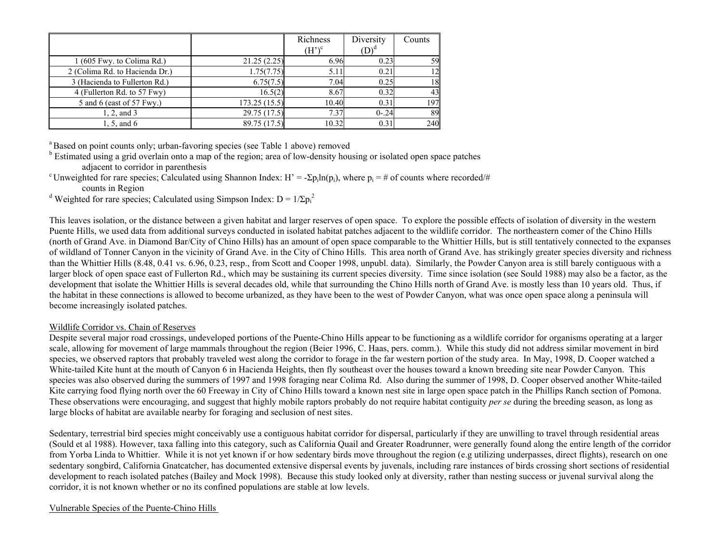|                                |               | Richness<br>$(H')^c$ | Diversity<br>$(D)$ <sup>d</sup> | Counts |
|--------------------------------|---------------|----------------------|---------------------------------|--------|
| 1 (605 Fwy. to Colima Rd.)     | 21.25(2.25)   | 6.96                 | 0.23                            | 59     |
| 2 (Colima Rd. to Hacienda Dr.) | 1.75(7.75)    | 5.11                 | 0.21                            | 12     |
| 3 (Hacienda to Fullerton Rd.)  | 6.75(7.5)     | 7.04                 | 0.25                            | 18     |
| 4 (Fullerton Rd. to 57 Fwy)    | 16.5(2)       | 8.67                 | 0.32                            | 43     |
| 5 and 6 (east of 57 Fwy.)      | 173.25 (15.5) | 10.40                | 0.31                            | 197    |
| 1, 2, and 3                    | 29.75 (17.5)  | 7.37                 | $0 - 24$                        | 89     |
| 1, 5, and 6                    | 89.75 (17.5)  | 10.32                | 0.31                            | 240    |

<sup>a</sup> Based on point counts only: urban-favoring species (see Table 1 above) removed

 $<sup>b</sup>$  Estimated using a grid overlain onto a map of the region; area of low-density housing or isolated open space patches</sup> adjacent to corridor in parenthesis

<sup>c</sup> Unweighted for rare species; Calculated using Shannon Index: H' = - $\Sigma$ p<sub>i</sub>ln(p<sub>i</sub>), where p<sub>i</sub> = # of counts where recorded/# counts in Region

<sup>d</sup> Weighted for rare species; Calculated using Simpson Index:  $D = 1/\Sigma p_i^2$ 

This leaves isolation, or the distance between a given habitat and larger reserves of open space. To explore the possible effects of isolation of diversity in the western Puente Hills, we used data from additional surveys conducted in isolated habitat patches adjacent to the wildlife corridor. The northeastern comer of the Chino Hills (north of Grand Ave. in Diamond Bar/City of Chino Hills) has an amount of open space comparable to the Whittier Hills, but is still tentatively connected to the expanses of wildland of Tonner Canyon in the vicinity of Grand Ave. in the City of Chino Hills. This area north of Grand Ave. has strikingly greater species diversity and richness than the Whittier Hills (8.48, 0.41 vs. 6.96, 0.23, resp., from Scott and Cooper 1998, unpubl. data). Similarly, the Powder Canyon area is still barely contiguous with a larger block of open space east of Fullerton Rd., which may be sustaining its current species diversity. Time since isolation (see Sould 1988) may also be a factor, as the development that isolate the Whittier Hills is several decades old, while that surrounding the Chino Hills north of Grand Ave. is mostly less than 10 years old. Thus, if the habitat in these connections is allowed to become urbanized, as they have been to the west of Powder Canyon, what was once open space along a peninsula will become increasingly isolated patches.

# Wildlife Corridor vs. Chain of Reserves

Despite several major road crossings, undeveloped portions of the Puente-Chino Hills appear to be functioning as a wildlife corridor for organisms operating at a larger scale, allowing for movement of large mammals throughout the region (Beier 1996, C. Haas, pers. comm.). While this study did not address similar movement in bird species, we observed raptors that probably traveled west along the corridor to forage in the far western portion of the study area. In May, 1998, D. Cooper watched a White-tailed Kite hunt at the mouth of Canyon 6 in Hacienda Heights, then fly southeast over the houses toward a known breeding site near Powder Canyon. This species was also observed during the summers of 1997 and 1998 foraging near Colima Rd. Also during the summer of 1998, D. Cooper observed another White-tailed Kite carrying food flying north over the 60 Freeway in City of Chino Hills toward a known nest site in large open space patch in the Phillips Ranch section of Pomona. These observations were encouraging, and suggest that highly mobile raptors probably do not require habitat contiguity *per se* during the breeding season, as long as large blocks of habitat are available nearby for foraging and seclusion of nest sites.

Sedentary, terrestrial bird species might conceivably use a contiguous habitat corridor for dispersal, particularly if they are unwilling to travel through residential areas (Sould et al 1988). However, taxa falling into this category, such as California Quail and Greater Roadrunner, were generally found along the entire length of the corridor from Yorba Linda to Whittier. While it is not yet known if or how sedentary birds move throughout the region (e.g utilizing underpasses, direct flights), research on one sedentary songbird, California Gnatcatcher, has documented extensive dispersal events by juvenals, including rare instances of birds crossing short sections of residential development to reach isolated patches (Bailey and Mock 1998). Because this study looked only at diversity, rather than nesting success or juvenal survival along the corridor, it is not known whether or no its confined populations are stable at low levels.

# Vulnerable Species of the Puente-Chino Hills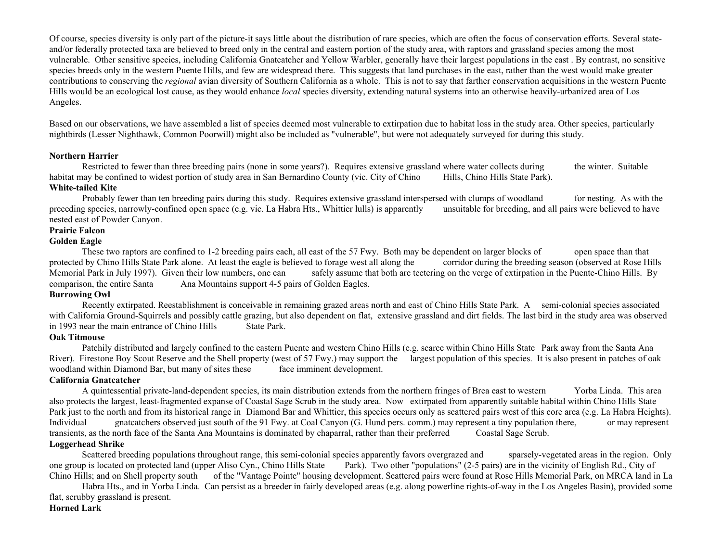Of course, species diversity is only part of the picture-it says little about the distribution of rare species, which are often the focus of conservation efforts. Several stateand/or federally protected taxa are believed to breed only in the central and eastern portion of the study area, with raptors and grassland species among the most vulnerable. Other sensitive species, including California Gnatcatcher and Yellow Warbler, generally have their largest populations in the east . By contrast, no sensitive species breeds only in the western Puente Hills, and few are widespread there. This suggests that land purchases in the east, rather than the west would make greater contributions to conserving the *regional* avian diversity of Southern California as a whole. This is not to say that farther conservation acquisitions in the western Puente Hills would be an ecological lost cause, as they would enhance *local* species diversity, extending natural systems into an otherwise heavily-urbanized area of Los Angeles.

Based on our observations, we have assembled a list of species deemed most vulnerable to extirpation due to habitat loss in the study area. Other species, particularly nightbirds (Lesser Nighthawk, Common Poorwill) might also be included as "vulnerable", but were not adequately surveyed for during this study.

## **Northern Harrier**

Restricted to fewer than three breeding pairs (none in some years?). Requires extensive grassland where water collects during the winter. Suitable habitat may be confined to widest portion of study area in San Bernardino County (vic. City of Chino Hills, Chino Hills State Park). **White-tailed Kite** 

Probably fewer than ten breeding pairs during this study. Requires extensive grassland interspersed with clumps of woodland for nesting. As with the preceding species, narrowly-confined open space (e.g. vic. La Habra Hts., Whittier lulls) is apparently unsuitable for breeding, and all pairs were believed to have nested east of Powder Canyon.

# **Prairie Falcon**

## **Golden Eagle**

 These two raptors are confined to 1-2 breeding pairs each, all east of the 57 Fwy. Both may be dependent on larger blocks of open space than that protected by Chino Hills State Park alone. At least the eagle is believed to forage west all along the corridor during the breeding season (observed at Rose Hills Memorial Park in July 1997). Given their low numbers, one can safely assume that both are teetering on the verge of extirpation in the Puente-Chino Hills. By comparison, the entire Santa Ana Mountains support 4-5 pairs of Golden Eagles.

## **Burrowing Owl**

 Recently extirpated. Reestablishment is conceivable in remaining grazed areas north and east of Chino Hills State Park. A semi-colonial species associated with California Ground-Squirrels and possibly cattle grazing, but also dependent on flat, extensive grassland and dirt fields. The last bird in the study area was observed in 1993 near the main entrance of Chino Hills State Park.

#### **Oak Titmouse**

Patchily distributed and largely confined to the eastern Puente and western Chino Hills (e.g. scarce within Chino Hills State Park away from the Santa Ana River). Firestone Boy Scout Reserve and the Shell property (west of 57 Fwy.) may support the largest population of this species. It is also present in patches of oak woodland within Diamond Bar, but many of sites these face imminent development.

#### **California Gnatcatcher**

 A quintessential private-land-dependent species, its main distribution extends from the northern fringes of Brea east to western Yorba Linda. This area also protects the largest, least-fragmented expanse of Coastal Sage Scrub in the study area. Now extirpated from apparently suitable habital within Chino Hills State Park just to the north and from its historical range in Diamond Bar and Whittier, this species occurs only as scattered pairs west of this core area (e.g. La Habra Heights). Individual gnatcatchers observed just south of the 91 Fwy. at Coal Canyon (G. Hund pers. comm.) may represent a tiny population there, or may represent transients, as the north face of the Santa Ana Mountains is dominated by chaparral, rather than their preferred Coastal Sage Scrub.

# **Loggerhead Shrike**

 Scattered breeding populations throughout range, this semi-colonial species apparently favors overgrazed and sparsely-vegetated areas in the region. Only one group is located on protected land (upper Aliso Cyn., Chino Hills State Park). Two other "populations" (2-5 pairs) are in the vicinity of English Rd., City of Chino Hills; and on Shell property south of the "Vantage Pointe" housing development. Scattered pairs were found at Rose Hills Memorial Park, on MRCA land in La

 Habra Hts., and in Yorba Linda. Can persist as a breeder in fairly developed areas (e.g. along powerline rights-of-way in the Los Angeles Basin), provided some flat, scrubby grassland is present.

# **Horned Lark**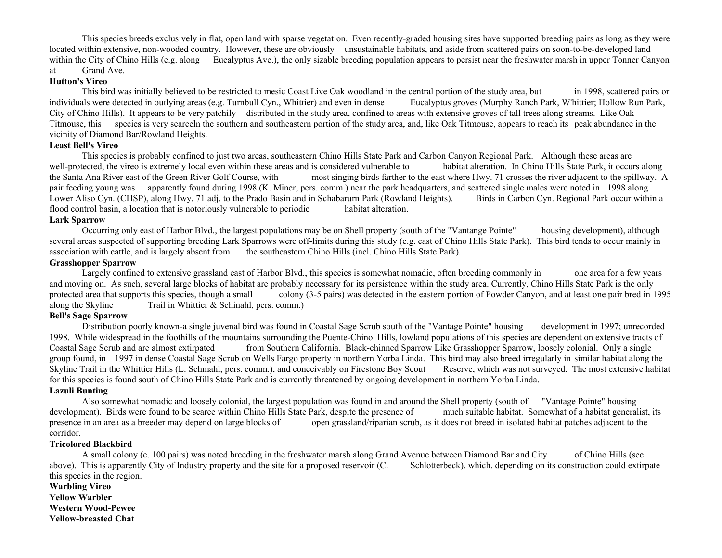This species breeds exclusively in flat, open land with sparse vegetation. Even recently-graded housing sites have supported breeding pairs as long as they were located within extensive, non-wooded country. However, these are obviously unsustainable habitats, and aside from scattered pairs on soon-to-be-developed land within the City of Chino Hills (e.g. along Eucalyptus Ave.), the only sizable breeding population appears to persist near the freshwater marsh in upper Tonner Canyon at Grand Ave.

## **Hutton's Vireo**

 This bird was initially believed to be restricted to mesic Coast Live Oak woodland in the central portion of the study area, but in 1998, scattered pairs or individuals were detected in outlying areas (e.g. Turnbull Cyn., Whittier) and even in dense Eucalyptus groves (Murphy Ranch Park, W'hittier; Hollow Run Park, City of Chino Hills). It appears to be very patchily distributed in the study area, confined to areas with extensive groves of tall trees along streams. Like Oak Titmouse, this species is very scarceln the southern and southeastern portion of the study area, and, like Oak Titmouse, appears to reach its peak abundance in the vicinity of Diamond Bar/Rowland Heights.

#### **Least Bell's Vireo**

 This species is probably confined to just two areas, southeastern Chino Hills State Park and Carbon Canyon Regional Park. Although these areas are well-protected, the vireo is extremely local even within these areas and is considered vulnerable to habitat alteration. In Chino Hills State Park, it occurs along the Santa Ana River east of the Green River Golf Course, with most singing birds farther to the east where Hwy. 71 crosses the river adjacent to the spillway. A pair feeding young was apparently found during 1998 (K. Miner, pers. comm.) near the park headquarters, and scattered single males were noted in 1998 along Lower Aliso Cyn. (CHSP), along Hwy. 71 adj. to the Prado Basin and in Schabarurn Park (Rowland Heights). Birds in Carbon Cyn. Regional Park occur within a flood control basin, a location that is notoriously vulnerable to periodic habitat alteration.

#### **Lark Sparrow**

 Occurring only east of Harbor Blvd., the largest populations may be on Shell property (south of the "Vantange Pointe" housing development), although several areas suspected of supporting breeding Lark Sparrows were off-limits during this study (e.g. east of Chino Hills State Park). This bird tends to occur mainly in association with cattle, and is largely absent from the southeastern Chino Hills (incl. Chino Hills State Park).

## **Grasshopper Sparrow**

Largely confined to extensive grassland east of Harbor Blvd., this species is somewhat nomadic, often breeding commonly in one area for a few years and moving on. As such, several large blocks of habitat are probably necessary for its persistence within the study area. Currently, Chino Hills State Park is the only protected area that supports this species, though a small colony (3-5 pairs) was detected in the eastern portion of Powder Canyon, and at least one pair bred in 1995 along the Skyline Trail in Whittier & Schinahl, pers. comm.)

# **Bell's Sage Sparrow**

 Distribution poorly known-a single juvenal bird was found in Coastal Sage Scrub south of the "Vantage Pointe" housing development in 1997; unrecorded 1998. While widespread in the foothills of the mountains surrounding the Puente-Chino Hills, lowland populations of this species are dependent on extensive tracts of Coastal Sage Scrub and are almost extirpated from Southern California. Black-chinned Sparrow Like Grasshopper Sparrow, loosely colonial. Only a single group found, in 1997 in dense Coastal Sage Scrub on Wells Fargo property in northern Yorba Linda. This bird may also breed irregularly in similar habitat along the Skyline Trail in the Whittier Hills (L. Schmahl, pers. comm.), and conceivably on Firestone Boy Scout Reserve, which was not surveyed. The most extensive habitat for this species is found south of Chino Hills State Park and is currently threatened by ongoing development in northern Yorba Linda.

## **Lazuli Bunting**

 Also somewhat nomadic and loosely colonial, the largest population was found in and around the Shell property (south of "Vantage Pointe" housing development). Birds were found to be scarce within Chino Hills State Park, despite the presence of much suitable habitat. Somewhat of a habitat generalist, its presence in an area as a breeder may depend on large blocks of open grassland/riparian scrub, as it does not breed in isolated habitat patches adjacent to the corridor.

### **Tricolored Blackbird**

 A small colony (c. 100 pairs) was noted breeding in the freshwater marsh along Grand Avenue between Diamond Bar and City of Chino Hills (see above). This is apparently City of Industry property and the site for a proposed reservoir (C. Schlotterbeck), which, depending on its construction could extirpate this species in the region.

**Warbling Vireo Yellow Warbler Western Wood-Pewee Yellow-breasted Chat**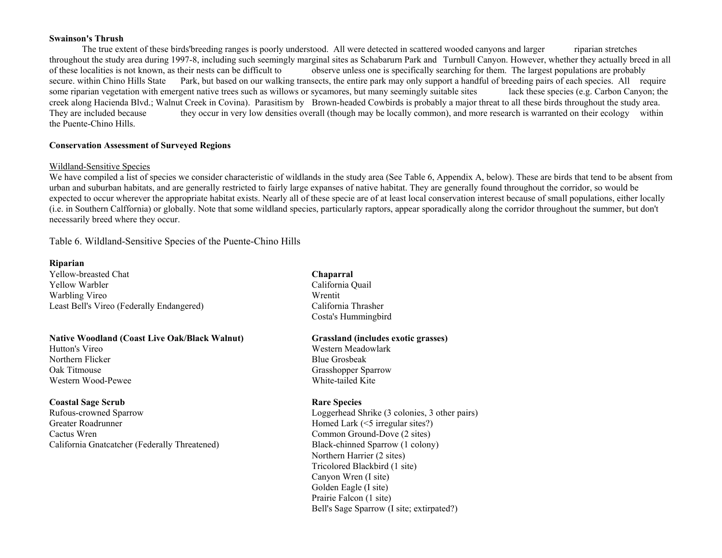#### **Swainson's Thrush**

 The true extent of these birds'breeding ranges is poorly understood. All were detected in scattered wooded canyons and larger riparian stretches throughout the study area during 1997-8, including such seemingly marginal sites as Schabarurn Park and Turnbull Canyon. However, whether they actually breed in all of these localities is not known, as their nests can be difficult to observe unless one is specifically searching for them. The largest populations are probably secure. within Chino Hills State Park, but based on our walking transects, the entire park may only support a handful of breeding pairs of each species. All require some riparian vegetation with emergent native trees such as willows or sycamores, but many seemingly suitable sites lack these species (e.g. Carbon Canyon; the creek along Hacienda Blvd.; Walnut Creek in Covina). Parasitism by Brown-headed Cowbirds is probably a major threat to all these birds throughout the study area. They are included because they occur in very low densities overall (though may be locally common), and more research is warranted on their ecology within the Puente-Chino Hills.

# **Conservation Assessment of Surveyed Regions**

## Wildland-Sensitive Species

We have compiled a list of species we consider characteristic of wildlands in the study area (See Table 6, Appendix A, below). These are birds that tend to be absent from urban and suburban habitats, and are generally restricted to fairly large expanses of native habitat. They are generally found throughout the corridor, so would be expected to occur wherever the appropriate habitat exists. Nearly all of these specie are of at least local conservation interest because of small populations, either locally (i.e. in Southern Calffornia) or globally. Note that some wildland species, particularly raptors, appear sporadically along the corridor throughout the summer, but don't necessarily breed where they occur.

Table 6. Wildland-Sensitive Species of the Puente-Chino Hills

## **Riparian**

Yellow-breasted Chat **Chaparral** Yellow Warbler California Quail Warbling Vireo Wrentit Number of Wrentit Number of Wrentit Number of Wrentit Number of Wrentit Number of Wrentit Number of Wrentit Number of Number of Number of Number of Number of Number of Number of Number of Number of N Least Bell's Vireo (Federally Endangered) California Thrasher

# **Native Woodland (Coast Live Oak/Black Walnut) Grassland (includes exotic grasses)**

Hutton's Vireo **Western Meadowlark** Western Meadowlark Northern Flicker Blue Grosbeak Western Wood-Pewee White-tailed Kite

# **Coastal Sage Scrub Rare Species Rare Species Rare Species**

Rufous-crowned Sparrow Loggerhead Shrike (3 colonies, 3 other pairs) Greater Roadrunner Homed Lark (<5 irregular sites?) Cactus Wren Common Ground-Dove (2 sites) California Gnatcatcher (Federally Threatened) Black-chinned Sparrow (1 colony)

Costa's Hummingbird

Oak Titmouse Grasshopper Sparrow Grasshopper Sparrow

 Northern Harrier (2 sites) Tricolored Blackbird (1 site) Canyon Wren (I site) Golden Eagle (I site) Prairie Falcon (1 site) Bell's Sage Sparrow (I site; extirpated?)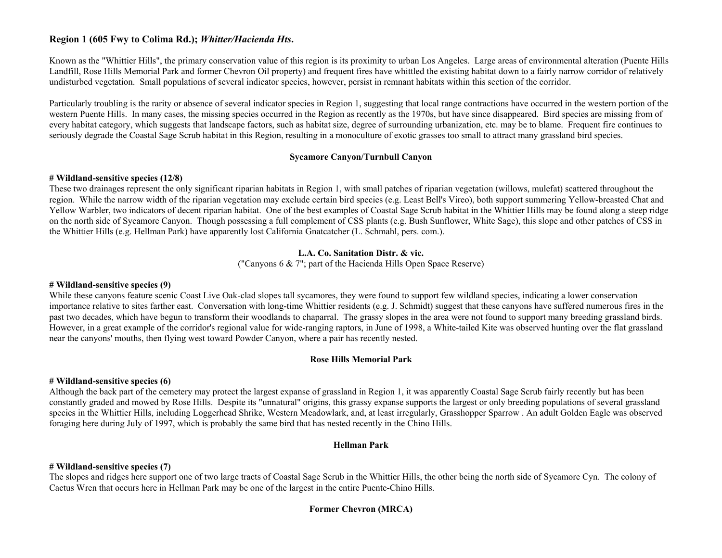# **Region 1 (605 Fwy to Colima Rd.);** *Whitter/Hacienda Hts***.**

Known as the "Whittier Hills", the primary conservation value of this region is its proximity to urban Los Angeles. Large areas of environmental alteration (Puente Hills Landfill, Rose Hills Memorial Park and former Chevron Oil property) and frequent fires have whittled the existing habitat down to a fairly narrow corridor of relatively undisturbed vegetation. Small populations of several indicator species, however, persist in remnant habitats within this section of the corridor.

Particularly troubling is the rarity or absence of several indicator species in Region 1, suggesting that local range contractions have occurred in the western portion of the western Puente Hills. In many cases, the missing species occurred in the Region as recently as the 1970s, but have since disappeared. Bird species are missing from of every habitat category, which suggests that landscape factors, such as habitat size, degree of surrounding urbanization, etc. may be to blame. Frequent fire continues to seriously degrade the Coastal Sage Scrub habitat in this Region, resulting in a monoculture of exotic grasses too small to attract many grassland bird species.

# **Sycamore Canyon/Turnbull Canyon**

# **# Wildland-sensitive species (12/8)**

These two drainages represent the only significant riparian habitats in Region 1, with small patches of riparian vegetation (willows, mulefat) scattered throughout the region. While the narrow width of the riparian vegetation may exclude certain bird species (e.g. Least Bell's Vireo), both support summering Yellow-breasted Chat and Yellow Warbler, two indicators of decent riparian habitat. One of the best examples of Coastal Sage Scrub habitat in the Whittier Hills may be found along a steep ridge on the north side of Sycamore Canyon. Though possessing a full complement of CSS plants (e.g. Bush Sunflower, White Sage), this slope and other patches of CSS in the Whittier Hills (e.g. Hellman Park) have apparently lost California Gnatcatcher (L. Schmahl, pers. com.).

# **L.A. Co. Sanitation Distr. & vic.**

("Canyons 6 & 7"; part of the Hacienda Hills Open Space Reserve)

# **# Wildland-sensitive species (9)**

While these canyons feature scenic Coast Live Oak-clad slopes tall sycamores, they were found to support few wildland species, indicating a lower conservation importance relative to sites farther east. Conversation with long-time Whittier residents (e.g. J. Schmidt) suggest that these canyons have suffered numerous fires in the past two decades, which have begun to transform their woodlands to chaparral. The grassy slopes in the area were not found to support many breeding grassland birds. However, in a great example of the corridor's regional value for wide-ranging raptors, in June of 1998, a White-tailed Kite was observed hunting over the flat grassland near the canyons' mouths, then flying west toward Powder Canyon, where a pair has recently nested.

# **Rose Hills Memorial Park**

# **# Wildland-sensitive species (6)**

Although the back part of the cemetery may protect the largest expanse of grassland in Region 1, it was apparently Coastal Sage Scrub fairly recently but has been constantly graded and mowed by Rose Hills. Despite its "unnatural" origins, this grassy expanse supports the largest or only breeding populations of several grassland species in the Whittier Hills, including Loggerhead Shrike, Western Meadowlark, and, at least irregularly, Grasshopper Sparrow . An adult Golden Eagle was observed foraging here during July of 1997, which is probably the same bird that has nested recently in the Chino Hills.

# **Hellman Park**

# **# Wildland-sensitive species (7)**

The slopes and ridges here support one of two large tracts of Coastal Sage Scrub in the Whittier Hills, the other being the north side of Sycamore Cyn. The colony of Cactus Wren that occurs here in Hellman Park may be one of the largest in the entire Puente-Chino Hills.

# **Former Chevron (MRCA)**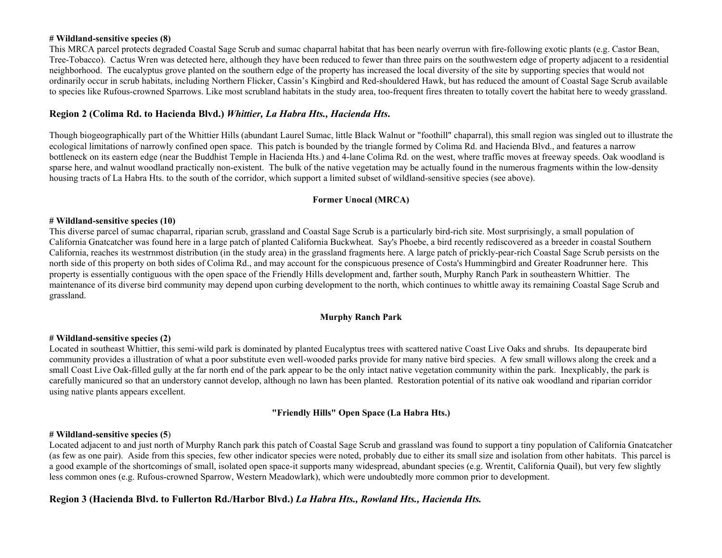## **# Wildland-sensitive species (8)**

This MRCA parcel protects degraded Coastal Sage Scrub and sumac chaparral habitat that has been nearly overrun with fire-following exotic plants (e.g. Castor Bean, Tree-Tobacco). Cactus Wren was detected here, although they have been reduced to fewer than three pairs on the southwestern edge of property adjacent to a residential neighborhood. The eucalyptus grove planted on the southern edge of the property has increased the local diversity of the site by supporting species that would not ordinarily occur in scrub habitats, including Northern Flicker, Cassin's Kingbird and Red-shouldered Hawk, but has reduced the amount of Coastal Sage Scrub available to species like Rufous-crowned Sparrows. Like most scrubland habitats in the study area, too-frequent fires threaten to totally covert the habitat here to weedy grassland.

# **Region 2 (Colima Rd. to Hacienda Blvd.)** *Whittier, La Habra Hts., Hacienda Hts***.**

Though biogeographically part of the Whittier Hills (abundant Laurel Sumac, little Black Walnut or "foothill" chaparral), this small region was singled out to illustrate the ecological limitations of narrowly confined open space. This patch is bounded by the triangle formed by Colima Rd. and Hacienda Blvd., and features a narrow bottleneck on its eastern edge (near the Buddhist Temple in Hacienda Hts.) and 4-lane Colima Rd. on the west, where traffic moves at freeway speeds. Oak woodland is sparse here, and walnut woodland practically non-existent. The bulk of the native vegetation may be actually found in the numerous fragments within the low-density housing tracts of La Habra Hts. to the south of the corridor, which support a limited subset of wildland-sensitive species (see above).

# **Former Unocal (MRCA)**

## **# Wildland-sensitive species (10)**

This diverse parcel of sumac chaparral, riparian scrub, grassland and Coastal Sage Scrub is a particularly bird-rich site. Most surprisingly, a small population of California Gnatcatcher was found here in a large patch of planted California Buckwheat. Say's Phoebe, a bird recently rediscovered as a breeder in coastal Southern California, reaches its westrnmost distribution (in the study area) in the grassland fragments here. A large patch of prickly-pear-rich Coastal Sage Scrub persists on the north side of this property on both sides of Colima Rd., and may account for the conspicuous presence of Costa's Hummingbird and Greater Roadrunner here. This property is essentially contiguous with the open space of the Friendly Hills development and, farther south, Murphy Ranch Park in southeastern Whittier. The maintenance of its diverse bird community may depend upon curbing development to the north, which continues to whittle away its remaining Coastal Sage Scrub and grassland.

#### **Murphy Ranch Park**

#### **# Wildland-sensitive species (2)**

Located in southeast Whittier, this semi-wild park is dominated by planted Eucalyptus trees with scattered native Coast Live Oaks and shrubs. Its depauperate bird community provides a illustration of what a poor substitute even well-wooded parks provide for many native bird species. A few small willows along the creek and a small Coast Live Oak-filled gully at the far north end of the park appear to be the only intact native vegetation community within the park. Inexplicably, the park is carefully manicured so that an understory cannot develop, although no lawn has been planted. Restoration potential of its native oak woodland and riparian corridor using native plants appears excellent.

# **"Friendly Hills" Open Space (La Habra Hts.)**

# **# Wildland-sensitive species (5**)

Located adjacent to and just north of Murphy Ranch park this patch of Coastal Sage Scrub and grassland was found to support a tiny population of California Gnatcatcher (as few as one pair). Aside from this species, few other indicator species were noted, probably due to either its small size and isolation from other habitats. This parcel is a good example of the shortcomings of small, isolated open space-it supports many widespread, abundant species (e.g. Wrentit, California Quail), but very few slightly less common ones (e.g. Rufous-crowned Sparrow, Western Meadowlark), which were undoubtedly more common prior to development.

# **Region 3 (Hacienda Blvd. to Fullerton Rd./Harbor Blvd.)** *La Habra Hts., Rowland Hts., Hacienda Hts.*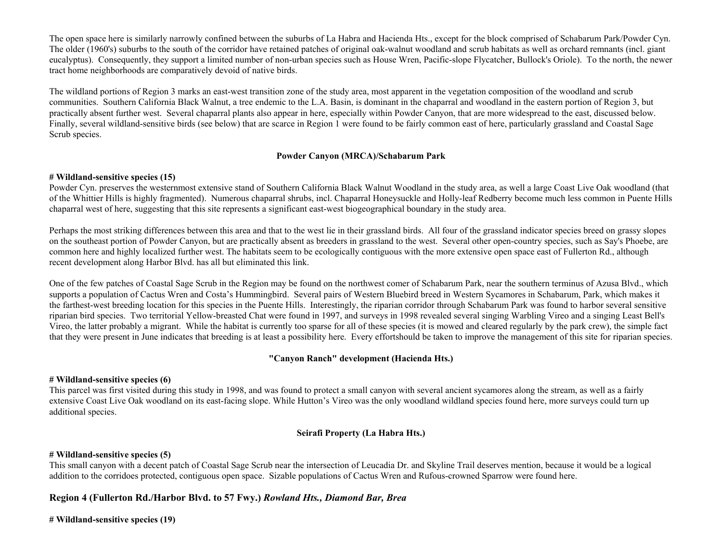The open space here is similarly narrowly confined between the suburbs of La Habra and Hacienda Hts., except for the block comprised of Schabarum Park/Powder Cyn. The older (1960's) suburbs to the south of the corridor have retained patches of original oak-walnut woodland and scrub habitats as well as orchard remnants (incl. giant eucalyptus). Consequently, they support a limited number of non-urban species such as House Wren, Pacific-slope Flycatcher, Bullock's Oriole). To the north, the newer tract home neighborhoods are comparatively devoid of native birds.

The wildland portions of Region 3 marks an east-west transition zone of the study area, most apparent in the vegetation composition of the woodland and scrub communities. Southern California Black Walnut, a tree endemic to the L.A. Basin, is dominant in the chaparral and woodland in the eastern portion of Region 3, but practically absent further west. Several chaparral plants also appear in here, especially within Powder Canyon, that are more widespread to the east, discussed below. Finally, several wildland-sensitive birds (see below) that are scarce in Region 1 were found to be fairly common east of here, particularly grassland and Coastal Sage Scrub species.

# **Powder Canyon (MRCA)/Schabarum Park**

# **# Wildland-sensitive species (15)**

Powder Cyn. preserves the westernmost extensive stand of Southern California Black Walnut Woodland in the study area, as well a large Coast Live Oak woodland (that of the Whittier Hills is highly fragmented). Numerous chaparral shrubs, incl. Chaparral Honeysuckle and Holly-leaf Redberry become much less common in Puente Hills chaparral west of here, suggesting that this site represents a significant east-west biogeographical boundary in the study area.

Perhaps the most striking differences between this area and that to the west lie in their grassland birds. All four of the grassland indicator species breed on grassy slopes on the southeast portion of Powder Canyon, but are practically absent as breeders in grassland to the west. Several other open-country species, such as Say's Phoebe, are common here and highly localized further west. The habitats seem to be ecologically contiguous with the more extensive open space east of Fullerton Rd., although recent development along Harbor Blvd. has all but eliminated this link.

One of the few patches of Coastal Sage Scrub in the Region may be found on the northwest comer of Schabarum Park, near the southern terminus of Azusa Blvd., which supports a population of Cactus Wren and Costa's Hummingbird. Several pairs of Western Bluebird breed in Western Sycamores in Schabarum, Park, which makes it the farthest-west breeding location for this species in the Puente Hills. Interestingly, the riparian corridor through Schabarum Park was found to harbor several sensitive riparian bird species. Two territorial Yellow-breasted Chat were found in 1997, and surveys in 1998 revealed several singing Warbling Vireo and a singing Least Bell's Vireo, the latter probably a migrant. While the habitat is currently too sparse for all of these species (it is mowed and cleared regularly by the park crew), the simple fact that they were present in June indicates that breeding is at least a possibility here. Every effortshould be taken to improve the management of this site for riparian species.

# **"Canyon Ranch" development (Hacienda Hts.)**

# **# Wildland-sensitive species (6)**

This parcel was first visited during this study in 1998, and was found to protect a small canyon with several ancient sycamores along the stream, as well as a fairly extensive Coast Live Oak woodland on its east-facing slope. While Hutton's Vireo was the only woodland wildland species found here, more surveys could turn up additional species.

# **Seirafi Property (La Habra Hts.)**

# **# Wildland-sensitive species (5)**

This small canyon with a decent patch of Coastal Sage Scrub near the intersection of Leucadia Dr. and Skyline Trail deserves mention, because it would be a logical addition to the corridoes protected, contiguous open space. Sizable populations of Cactus Wren and Rufous-crowned Sparrow were found here.

# **Region 4 (Fullerton Rd./Harbor Blvd. to 57 Fwy.)** *Rowland Hts., Diamond Bar, Brea*

**# Wildland-sensitive species (19)**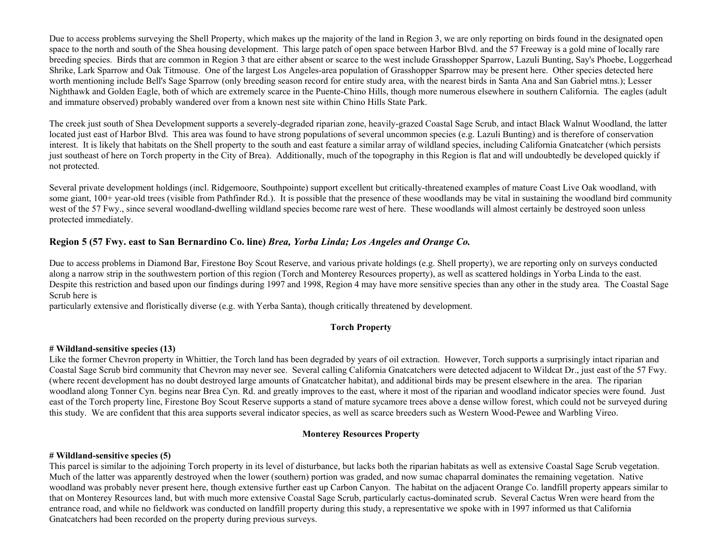Due to access problems surveying the Shell Property, which makes up the majority of the land in Region 3, we are only reporting on birds found in the designated open space to the north and south of the Shea housing development. This large patch of open space between Harbor Blvd. and the 57 Freeway is a gold mine of locally rare breeding species. Birds that are common in Region 3 that are either absent or scarce to the west include Grasshopper Sparrow, Lazuli Bunting, Say's Phoebe, Loggerhead Shrike, Lark Sparrow and Oak Titmouse. One of the largest Los Angeles-area population of Grasshopper Sparrow may be present here. Other species detected here worth mentioning include Bell's Sage Sparrow (only breeding season record for entire study area, with the nearest birds in Santa Ana and San Gabriel mtns.); Lesser Nighthawk and Golden Eagle, both of which are extremely scarce in the Puente-Chino Hills, though more numerous elsewhere in southern California. The eagles (adult and immature observed) probably wandered over from a known nest site within Chino Hills State Park.

The creek just south of Shea Development supports a severely-degraded riparian zone, heavily-grazed Coastal Sage Scrub, and intact Black Walnut Woodland, the latter located just east of Harbor Blvd. This area was found to have strong populations of several uncommon species (e.g. Lazuli Bunting) and is therefore of conservation interest. It is likely that habitats on the Shell property to the south and east feature a similar array of wildland species, including California Gnatcatcher (which persists just southeast of here on Torch property in the City of Brea). Additionally, much of the topography in this Region is flat and will undoubtedly be developed quickly if not protected.

Several private development holdings (incl. Ridgemoore, Southpointe) support excellent but critically-threatened examples of mature Coast Live Oak woodland, with some giant, 100+ year-old trees (visible from Pathfinder Rd.). It is possible that the presence of these woodlands may be vital in sustaining the woodland bird community west of the 57 Fwy., since several woodland-dwelling wildland species become rare west of here. These woodlands will almost certainly be destroyed soon unless protected immediately.

# **Region 5 (57 Fwy. east to San Bernardino Co. line)** *Brea, Yorba Linda; Los Angeles and Orange Co.*

Due to access problems in Diamond Bar, Firestone Boy Scout Reserve, and various private holdings (e.g. Shell property), we are reporting only on surveys conducted along a narrow strip in the southwestern portion of this region (Torch and Monterey Resources property), as well as scattered holdings in Yorba Linda to the east. Despite this restriction and based upon our findings during 1997 and 1998, Region 4 may have more sensitive species than any other in the study area. The Coastal Sage Scrub here is

particularly extensive and floristically diverse (e.g. with Yerba Santa), though critically threatened by development.

# **Torch Property**

# **# Wildland-sensitive species (13)**

Like the former Chevron property in Whittier, the Torch land has been degraded by years of oil extraction. However, Torch supports a surprisingly intact riparian and Coastal Sage Scrub bird community that Chevron may never see. Several calling California Gnatcatchers were detected adjacent to Wildcat Dr., just east of the 57 Fwy. (where recent development has no doubt destroyed large amounts of Gnatcatcher habitat), and additional birds may be present elsewhere in the area. The riparian woodland along Tonner Cyn. begins near Brea Cyn. Rd. and greatly improves to the east, where it most of the riparian and woodland indicator species were found. Just east of the Torch property line, Firestone Boy Scout Reserve supports a stand of mature sycamore trees above a dense willow forest, which could not be surveyed during this study. We are confident that this area supports several indicator species, as well as scarce breeders such as Western Wood-Pewee and Warbling Vireo.

# **Monterey Resources Property**

#### **# Wildland-sensitive species (5)**

This parcel is similar to the adjoining Torch property in its level of disturbance, but lacks both the riparian habitats as well as extensive Coastal Sage Scrub vegetation. Much of the latter was apparently destroyed when the lower (southern) portion was graded, and now sumac chaparral dominates the remaining vegetation. Native woodland was probably never present here, though extensive further east up Carbon Canyon. The habitat on the adjacent Orange Co. landfill property appears similar to that on Monterey Resources land, but with much more extensive Coastal Sage Scrub, particularly cactus-dominated scrub. Several Cactus Wren were heard from the entrance road, and while no fieldwork was conducted on landfill property during this study, a representative we spoke with in 1997 informed us that California Gnatcatchers had been recorded on the property during previous surveys.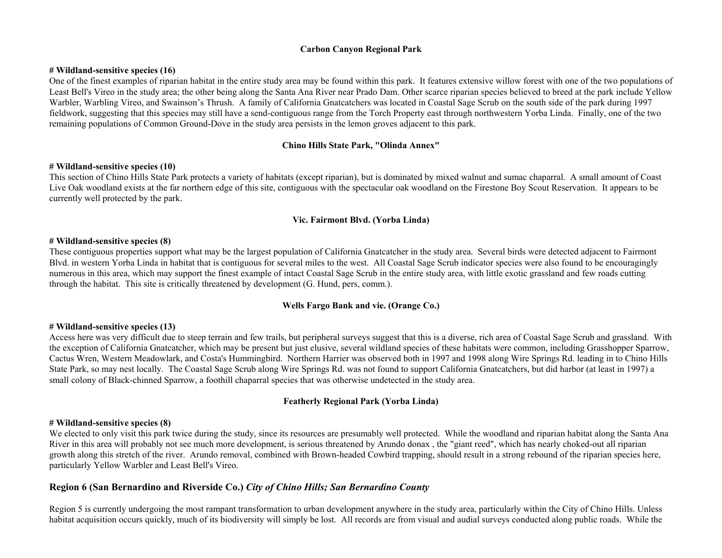## **Carbon Canyon Regional Park**

#### **# Wildland-sensitive species (16)**

One of the finest examples of riparian habitat in the entire study area may be found within this park. It features extensive willow forest with one of the two populations of Least Bell's Vireo in the study area; the other being along the Santa Ana River near Prado Dam. Other scarce riparian species believed to breed at the park include Yellow Warbler, Warbling Vireo, and Swainson's Thrush. A family of California Gnatcatchers was located in Coastal Sage Scrub on the south side of the park during 1997 fieldwork, suggesting that this species may still have a send-contiguous range from the Torch Property east through northwestern Yorba Linda. Finally, one of the two remaining populations of Common Ground-Dove in the study area persists in the lemon groves adjacent to this park.

## **Chino Hills State Park, "Olinda Annex"**

#### **# Wildland-sensitive species (10)**

This section of Chino Hills State Park protects a variety of habitats (except riparian), but is dominated by mixed walnut and sumac chaparral. A small amount of Coast Live Oak woodland exists at the far northern edge of this site, contiguous with the spectacular oak woodland on the Firestone Boy Scout Reservation. It appears to be currently well protected by the park.

## **Vic. Fairmont Blvd. (Yorba Linda)**

#### **# Wildland-sensitive species (8)**

These contiguous properties support what may be the largest population of California Gnatcatcher in the study area. Several birds were detected adjacent to Fairmont Blvd. in western Yorba Linda in habitat that is contiguous for several miles to the west. All Coastal Sage Scrub indicator species were also found to be encouragingly numerous in this area, which may support the finest example of intact Coastal Sage Scrub in the entire study area, with little exotic grassland and few roads cutting through the habitat. This site is critically threatened by development (G. Hund, pers, comm.).

#### **Wells Fargo Bank and vie. (Orange Co.)**

#### **# Wildland-sensitive species (13)**

Access here was very difficult due to steep terrain and few trails, but peripheral surveys suggest that this is a diverse, rich area of Coastal Sage Scrub and grassland. With the exception of California Gnatcatcher, which may be present but just elusive, several wildland species of these habitats were common, including Grasshopper Sparrow, Cactus Wren, Western Meadowlark, and Costa's Hummingbird. Northern Harrier was observed both in 1997 and 1998 along Wire Springs Rd. leading in to Chino Hills State Park, so may nest locally. The Coastal Sage Scrub along Wire Springs Rd. was not found to support California Gnatcatchers, but did harbor (at least in 1997) a small colony of Black-chinned Sparrow, a foothill chaparral species that was otherwise undetected in the study area.

#### **Featherly Regional Park (Yorba Linda)**

#### **# Wildland-sensitive species (8)**

We elected to only visit this park twice during the study, since its resources are presumably well protected. While the woodland and riparian habitat along the Santa Ana River in this area will probably not see much more development, is serious threatened by Arundo donax, the "giant reed", which has nearly choked-out all riparian growth along this stretch of the river. Arundo removal, combined with Brown-headed Cowbird trapping, should result in a strong rebound of the riparian species here, particularly Yellow Warbler and Least Bell's Vireo.

# **Region 6 (San Bernardino and Riverside Co.)** *City of Chino Hills; San Bernardino County*

Region 5 is currently undergoing the most rampant transformation to urban development anywhere in the study area, particularly within the City of Chino Hills. Unless habitat acquisition occurs quickly, much of its biodiversity will simply be lost. All records are from visual and audial surveys conducted along public roads. While the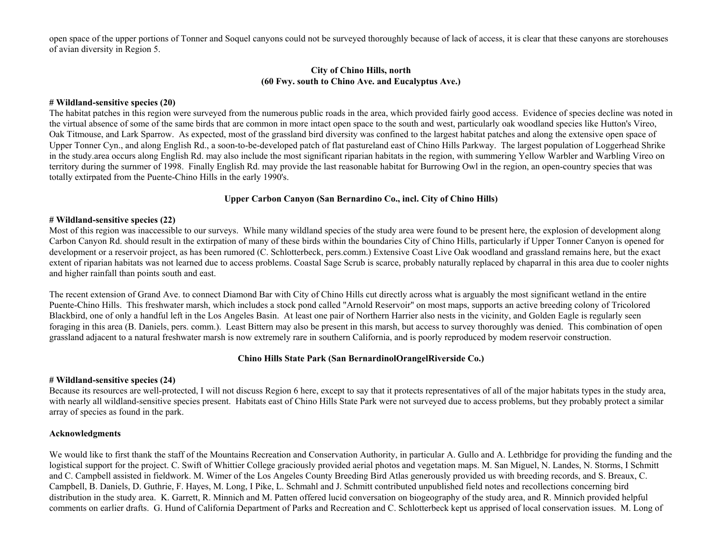open space of the upper portions of Tonner and Soquel canyons could not be surveyed thoroughly because of lack of access, it is clear that these canyons are storehouses of avian diversity in Region 5.

#### **City of Chino Hills, north (60 Fwy. south to Chino Ave. and Eucalyptus Ave.)**

## **# Wildland-sensitive species (20)**

The habitat patches in this region were surveyed from the numerous public roads in the area, which provided fairly good access. Evidence of species decline was noted in the virtual absence of some of the same birds that are common in more intact open space to the south and west, particularly oak woodland species like Hutton's Vireo, Oak Titmouse, and Lark Sparrow. As expected, most of the grassland bird diversity was confined to the largest habitat patches and along the extensive open space of Upper Tonner Cyn., and along English Rd., a soon-to-be-developed patch of flat pastureland east of Chino Hills Parkway. The largest population of Loggerhead Shrike in the study.area occurs along English Rd. may also include the most significant riparian habitats in the region, with summering Yellow Warbler and Warbling Vireo on territory during the surnmer of 1998. Finally English Rd. may provide the last reasonable habitat for Burrowing Owl in the region, an open-country species that was totally extirpated from the Puente-Chino Hills in the early 1990's.

# **Upper Carbon Canyon (San Bernardino Co., incl. City of Chino Hills)**

# **# Wildland-sensitive species (22)**

Most of this region was inaccessible to our surveys. While many wildland species of the study area were found to be present here, the explosion of development along Carbon Canyon Rd. should result in the extirpation of many of these birds within the boundaries City of Chino Hills, particularly if Upper Tonner Canyon is opened for development or a reservoir project, as has been rumored (C. Schlotterbeck, pers.comm.) Extensive Coast Live Oak woodland and grassland remains here, but the exact extent of riparian habitats was not learned due to access problems. Coastal Sage Scrub is scarce, probably naturally replaced by chaparral in this area due to cooler nights and higher rainfall than points south and east.

The recent extension of Grand Ave. to connect Diamond Bar with City of Chino Hills cut directly across what is arguably the most significant wetland in the entire Puente-Chino Hills. This freshwater marsh, which includes a stock pond called "Arnold Reservoir" on most maps, supports an active breeding colony of Tricolored Blackbird, one of only a handful left in the Los Angeles Basin. At least one pair of Northern Harrier also nests in the vicinity, and Golden Eagle is regularly seen foraging in this area (B. Daniels, pers. comm.). Least Bittern may also be present in this marsh, but access to survey thoroughly was denied. This combination of open grassland adjacent to a natural freshwater marsh is now extremely rare in southern California, and is poorly reproduced by modem reservoir construction.

# **Chino Hills State Park (San BernardinolOrangelRiverside Co.)**

#### **# Wildland-sensitive species (24)**

Because its resources are well-protected, I will not discuss Region 6 here, except to say that it protects representatives of all of the major habitats types in the study area, with nearly all wildland-sensitive species present. Habitats east of Chino Hills State Park were not surveyed due to access problems, but they probably protect a similar array of species as found in the park.

# **Acknowledgments**

We would like to first thank the staff of the Mountains Recreation and Conservation Authority, in particular A. Gullo and A. Lethbridge for providing the funding and the logistical support for the project. C. Swift of Whittier College graciously provided aerial photos and vegetation maps. M. San Miguel, N. Landes, N. Storms, I Schmitt and C. Campbell assisted in fieldwork. M. Wimer of the Los Angeles County Breeding Bird Atlas generously provided us with breeding records, and S. Breaux, C. Campbell, B. Daniels, D. Guthrie, F. Hayes, M. Long, I Pike, L. Schmahl and J. Schmitt contributed unpublished field notes and recollections concerning bird distribution in the study area. K. Garrett, R. Minnich and M. Patten offered lucid conversation on biogeography of the study area, and R. Minnich provided helpful comments on earlier drafts. G. Hund of California Department of Parks and Recreation and C. Schlotterbeck kept us apprised of local conservation issues. M. Long of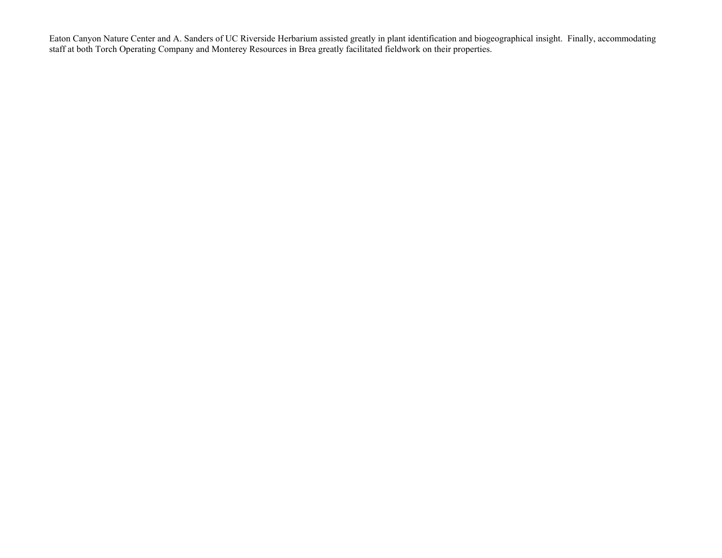Eaton Canyon Nature Center and A. Sanders of UC Riverside Herbarium assisted greatly in plant identification and biogeographical insight. Finally, accommodating staff at both Torch Operating Company and Monterey Resources in Brea greatly facilitated fieldwork on their properties.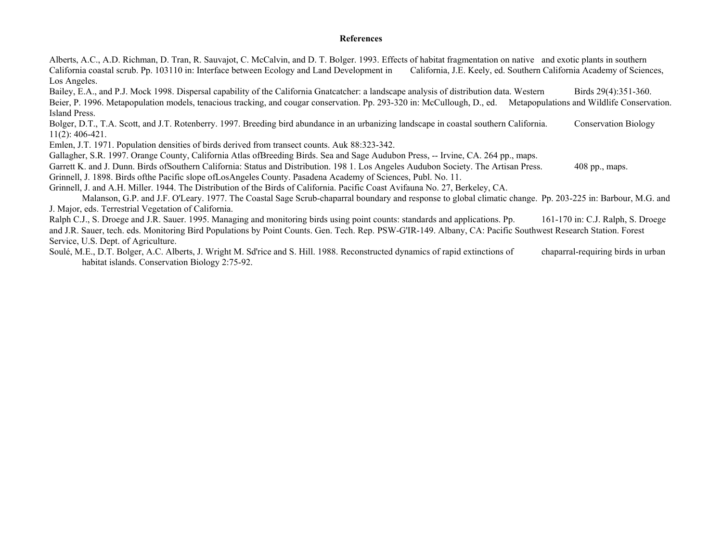#### **References**

Alberts, A.C., A.D. Richman, D. Tran, R. Sauvajot, C. McCalvin, and D. T. Bolger. 1993. Effects of habitat fragmentation on native and exotic plants in southern California coastal scrub. Pp. 103110 in: Interface between Ecology and Land Development in California, J.E. Keely, ed. Southern California Academy of Sciences, Los Angeles.

Bailey, E.A., and P.J. Mock 1998. Dispersal capability of the California Gnatcatcher: a landscape analysis of distribution data. Western Birds 29(4):351-360. Beier, P. 1996. Metapopulation models, tenacious tracking, and cougar conservation. Pp. 293-320 in: McCullough, D., ed. Metapopulations and Wildlife Conservation.

Island Press.

Bolger, D.T., T.A. Scott, and J.T. Rotenberry. 1997. Breeding bird abundance in an urbanizing landscape in coastal southern California. Conservation Biology 11(2): 406-421.

Emlen, J.T. 1971. Population densities of birds derived from transect counts. Auk 88:323-342.

Gallagher, S.R. 1997. Orange County, California Atlas ofBreeding Birds. Sea and Sage Audubon Press, -- Irvine, CA. 264 pp., maps.

Garrett K. and J. Dunn. Birds of Southern California: Status and Distribution. 198 1. Los Angeles Audubon Society. The Artisan Press. 408 pp., maps.

Grinnell, J. 1898. Birds ofthe Pacific slope ofLosAngeles County. Pasadena Academy of Sciences, Publ. No. 11.

Grinnell, J. and A.H. Miller. 1944. The Distribution of the Birds of California. Pacific Coast Avifauna No. 27, Berkeley, CA.

 Malanson, G.P. and J.F. O'Leary. 1977. The Coastal Sage Scrub-chaparral boundary and response to global climatic change. Pp. 203-225 in: Barbour, M.G. and J. Major, eds. Terrestrial Vegetation of California.

Ralph C.J., S. Droege and J.R. Sauer. 1995. Managing and monitoring birds using point counts: standards and applications. Pp. 161-170 in: C.J. Ralph, S. Droege and J.R. Sauer, tech. eds. Monitoring Bird Populations by Point Counts. Gen. Tech. Rep. PSW-G'IR-149. Albany, CA: Pacific Southwest Research Station. Forest Service, U.S. Dept. of Agriculture.

Soulé, M.E., D.T. Bolger, A.C. Alberts, J. Wright M. Sd'rice and S. Hill. 1988. Reconstructed dynamics of rapid extinctions of chaparral-requiring birds in urban habitat islands. Conservation Biology 2:75-92.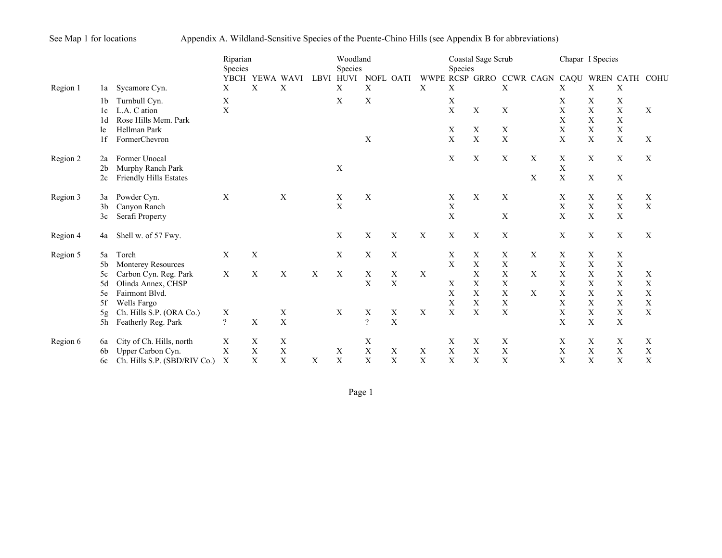See Map 1 for locations Appendix A. Wildland-Scnsitive Species of the Puente-Chino Hills (see Appendix B for abbreviations)

|          |                |                              | Riparian<br><b>Species</b> |                     |             |      | Woodland<br>Species       |                           |                           |                           | <b>Species</b>            | Coastal Sage Scrub |             |             |                          | Chapar I Species |             |             |
|----------|----------------|------------------------------|----------------------------|---------------------|-------------|------|---------------------------|---------------------------|---------------------------|---------------------------|---------------------------|--------------------|-------------|-------------|--------------------------|------------------|-------------|-------------|
| Region 1 | la             | Sycamore Cyn.                | X                          | YBCH YEWA WAVI<br>Χ | Χ           | LBVI | <b>HUVI</b><br>X          | NOFL OATI<br>X            |                           | X                         | Χ                         | WWPE RCSP GRRO     | X           | CCWR CAGN   | CAQU WREN CATH COHU<br>Χ | X                | X           |             |
|          | 1b             | Turnbull Cyn.                | X                          |                     |             |      | X                         | X                         |                           |                           | X                         |                    |             |             | Χ                        | Χ                | X           |             |
|          | 1c             | L.A. C ation                 | X                          |                     |             |      |                           |                           |                           |                           | $\mathbf X$               | $\mathbf X$        | $\mathbf X$ |             | X                        | X                | $\mathbf X$ | X           |
|          | 1d             | Rose Hills Mem. Park         |                            |                     |             |      |                           |                           |                           |                           |                           |                    |             |             | X                        | X                | $\mathbf X$ |             |
|          | le             | Hellman Park                 |                            |                     |             |      |                           |                           |                           |                           | X                         | X                  | X           |             | X                        | X                | X           |             |
|          | 1f             | FormerChevron                |                            |                     |             |      |                           | X                         |                           |                           | X                         | X                  | X           |             | X                        | X                | X           | X           |
| Region 2 | 2a             | Former Unocal                |                            |                     |             |      |                           |                           |                           |                           | X                         | $\mathbf X$        | X           | $\mathbf X$ | $\mathbf X$              | $\mathbf X$      | X           | $\mathbf X$ |
|          | 2 <sub>b</sub> | Murphy Ranch Park            |                            |                     |             |      | X                         |                           |                           |                           |                           |                    |             |             | $\mathbf X$              |                  |             |             |
|          | 2c             | Friendly Hills Estates       |                            |                     |             |      |                           |                           |                           |                           |                           |                    |             | X           | X                        | $\mathbf X$      | $\mathbf X$ |             |
| Region 3 | 3a             | Powder Cyn.                  | $\mathbf{X}$               |                     | X           |      | X                         | X                         |                           |                           | X                         | $\mathbf X$        | X           |             | X                        | X                | X           | X           |
|          | 3 <sub>b</sub> | Canyon Ranch                 |                            |                     |             |      | $\mathbf X$               |                           |                           |                           | $\mathbf X$               |                    |             |             | $\mathbf X$              | $\mathbf X$      | $\mathbf X$ | X           |
|          | 3c             | Serafi Property              |                            |                     |             |      |                           |                           |                           |                           | X                         |                    | X           |             | X                        | X                | $\mathbf X$ |             |
| Region 4 | 4a             | Shell w. of 57 Fwy.          |                            |                     |             |      | X                         | X                         | X                         | X                         | $\boldsymbol{\mathrm{X}}$ | X                  | X           |             | $\mathbf X$              | $\mathbf X$      | $\mathbf X$ | $\mathbf X$ |
| Region 5 | 5a             | Torch                        | $\mathbf{X}$               | X                   |             |      | X                         | $\boldsymbol{\mathrm{X}}$ | X                         |                           | X                         | $\mathbf X$        | Χ           | X           | X                        | X                | X           |             |
|          | 5b             | Monterey Resources           |                            |                     |             |      |                           |                           |                           |                           | X                         | X                  | X           |             | X                        | X                | $\mathbf X$ |             |
|          | 5c             | Carbon Cyn. Reg. Park        | X                          | X                   | $\mathbf X$ | X    | $\mathbf X$               | $\mathbf X$               | X                         | X                         |                           | X                  | X           | X           | X                        | X                | X           | X           |
|          | 5d             | Olinda Annex, CHSP           |                            |                     |             |      |                           | X                         | X                         |                           | X                         | $\mathbf X$        | $\mathbf X$ |             | X                        | X                | X           | $\mathbf X$ |
|          | 5e             | Fairmont Blvd.               |                            |                     |             |      |                           |                           |                           |                           | X                         | X                  | X           | X           | X                        | X                | $\mathbf X$ | X           |
|          | 5f             | Wells Fargo                  |                            |                     |             |      |                           |                           |                           |                           | $\mathbf X$               | $\mathbf X$        | $\mathbf X$ |             | X                        | X                | $\mathbf X$ | $\mathbf X$ |
|          | 5g             | Ch. Hills S.P. (ORA Co.)     | $\mathbf X$                |                     | $\mathbf X$ |      | X                         | X                         | $\mathbf X$               | X                         | X                         | $\mathbf X$        | $\mathbf X$ |             | X                        | X                | $\mathbf X$ | $\mathbf X$ |
|          | 5h             | Featherly Reg. Park          | $\gamma$                   | X                   | X           |      |                           | $\overline{?}$            | X                         |                           |                           |                    |             |             | X                        | X                | X           |             |
| Region 6 | 6a             | City of Ch. Hills, north     | X                          | Χ                   | $\mathbf X$ |      |                           | X                         |                           |                           | X                         | X                  | Χ           |             | Χ                        | X                | X           | X           |
|          | 6b             | Upper Carbon Cyn.            | $\mathbf X$                | $\mathbf X$         | X           |      | Χ                         | $\mathbf X$               | X                         | Χ                         | $\boldsymbol{\mathrm{X}}$ | $\mathbf X$        | $\mathbf X$ |             | $\mathbf X$              | $\mathbf X$      | X           | $\mathbf X$ |
|          | 6c             | Ch. Hills S.P. (SBD/RIV Co.) | X                          | X                   | X           | X    | $\boldsymbol{\mathrm{X}}$ | $\boldsymbol{\mathrm{X}}$ | $\boldsymbol{\mathrm{X}}$ | $\boldsymbol{\mathrm{X}}$ | X                         | X                  | X           |             | X                        | $\mathbf X$      | $\mathbf X$ | X           |

Page 1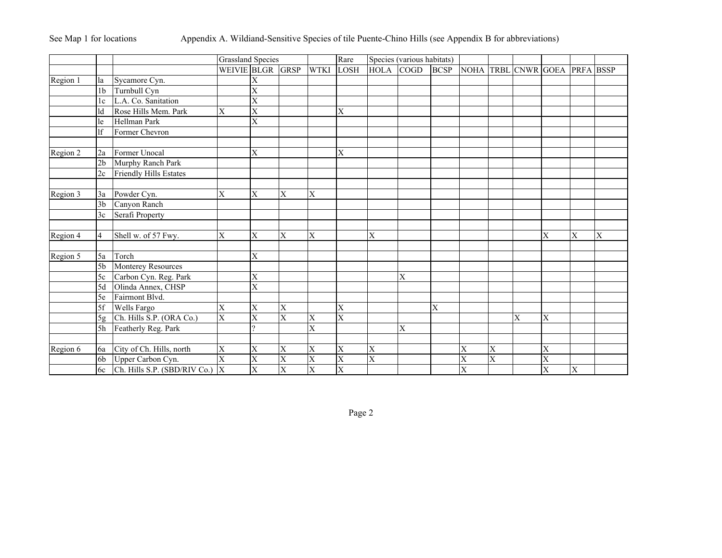See Map 1 for locations Appendix A. Wildiand-Sensitive Species of tile Puente-Chino Hills (see Appendix B for abbreviations)

|          |                |                              | <b>Grassland Species</b> |                         |                         |                         | Rare        |                         | Species (various habitats) |             |           |                         |                               |                         |   |   |
|----------|----------------|------------------------------|--------------------------|-------------------------|-------------------------|-------------------------|-------------|-------------------------|----------------------------|-------------|-----------|-------------------------|-------------------------------|-------------------------|---|---|
|          |                |                              | WEIVIE BLGR GRSP         |                         |                         | <b>WTKI</b>             | <b>LOSH</b> | <b>HOLA</b>             | <b>COGD</b>                | <b>BCSP</b> |           |                         | NOHA TRBL CNWR GOEA PRFA BSSP |                         |   |   |
| Region 1 | la             | Sycamore Cyn.                |                          | X                       |                         |                         |             |                         |                            |             |           |                         |                               |                         |   |   |
|          | 1 <sub>b</sub> | Turnbull Cyn                 |                          | X                       |                         |                         |             |                         |                            |             |           |                         |                               |                         |   |   |
|          | 1c             | L.A. Co. Sanitation          |                          | X                       |                         |                         |             |                         |                            |             |           |                         |                               |                         |   |   |
|          | ld             | Rose Hills Mem. Park         | $\overline{\mathrm{X}}$  | $\overline{\mathrm{X}}$ |                         |                         | X           |                         |                            |             |           |                         |                               |                         |   |   |
|          | le             | Hellman Park                 |                          | $\overline{\mathrm{X}}$ |                         |                         |             |                         |                            |             |           |                         |                               |                         |   |   |
|          | lf             | Former Chevron               |                          |                         |                         |                         |             |                         |                            |             |           |                         |                               |                         |   |   |
|          |                |                              |                          |                         |                         |                         |             |                         |                            |             |           |                         |                               |                         |   |   |
| Region 2 | 2a             | Former Unocal                |                          | X                       |                         |                         | X           |                         |                            |             |           |                         |                               |                         |   |   |
|          | 2 <sub>b</sub> | Murphy Ranch Park            |                          |                         |                         |                         |             |                         |                            |             |           |                         |                               |                         |   |   |
|          | 2c             | Friendly Hills Estates       |                          |                         |                         |                         |             |                         |                            |             |           |                         |                               |                         |   |   |
| Region 3 | 3a             | Powder Cyn.                  | X                        | X                       | $\overline{\text{X}}$   | X                       |             |                         |                            |             |           |                         |                               |                         |   |   |
|          | 3 <sub>b</sub> | Canyon Ranch                 |                          |                         |                         |                         |             |                         |                            |             |           |                         |                               |                         |   |   |
|          | 3c             | Serafi Property              |                          |                         |                         |                         |             |                         |                            |             |           |                         |                               |                         |   |   |
|          |                |                              |                          |                         |                         |                         |             |                         |                            |             |           |                         |                               |                         |   |   |
| Region 4 | $\overline{4}$ | Shell w. of 57 Fwy.          | X                        | X                       | $\overline{\text{X}}$   | X                       |             | X                       |                            |             |           |                         |                               | X                       | X | X |
|          |                |                              |                          |                         |                         |                         |             |                         |                            |             |           |                         |                               |                         |   |   |
| Region 5 | 5a             | Torch                        |                          | X                       |                         |                         |             |                         |                            |             |           |                         |                               |                         |   |   |
|          | 5 <sub>b</sub> | Monterey Resources           |                          |                         |                         |                         |             |                         |                            |             |           |                         |                               |                         |   |   |
|          | 5c             | Carbon Cyn. Reg. Park        |                          | X                       |                         |                         |             |                         | X                          |             |           |                         |                               |                         |   |   |
|          | 5d             | Olinda Annex, CHSP           |                          | $\overline{\mathrm{X}}$ |                         |                         |             |                         |                            |             |           |                         |                               |                         |   |   |
|          | 5e             | Fairmont Blvd.               |                          |                         |                         |                         |             |                         |                            |             |           |                         |                               |                         |   |   |
|          | 5f             | Wells Fargo                  | X                        | Х                       | X                       |                         | X           |                         |                            | X           |           |                         |                               |                         |   |   |
|          | 5g             | Ch. Hills S.P. (ORA Co.)     | $\overline{X}$           | $\overline{\mathrm{X}}$ | $\overline{X}$          | X                       | X           |                         |                            |             |           |                         | X                             | X                       |   |   |
|          | 5h             | Featherly Reg. Park          |                          | $\mathcal{O}$           |                         | $\overline{\mathrm{X}}$ |             |                         | X                          |             |           |                         |                               |                         |   |   |
|          |                |                              |                          |                         |                         |                         |             |                         |                            |             |           |                         |                               |                         |   |   |
| Region 6 | 6a             | City of Ch. Hills, north     | X                        | X                       | $\overline{\text{X}}$   | X                       | X           | $\overline{X}$          |                            |             | X         | X                       |                               | X                       |   |   |
|          | 6 <sub>b</sub> | Upper Carbon Cyn.            | $\overline{\mathrm{X}}$  | $\overline{\mathrm{X}}$ | $\overline{\text{X}}$   | $\overline{\mathrm{X}}$ | X           | $\overline{\mathrm{X}}$ |                            |             | $\bar{X}$ | $\overline{\mathrm{X}}$ |                               | $\overline{\mathrm{X}}$ |   |   |
|          | 6c             | Ch. Hills S.P. (SBD/RIV Co.) | $\overline{\mathbf{x}}$  | $\overline{\mathrm{X}}$ | $\overline{\mathrm{X}}$ | $\overline{\mathrm{X}}$ | X           |                         |                            |             | X         |                         |                               | $\overline{X}$          | X |   |

Page 2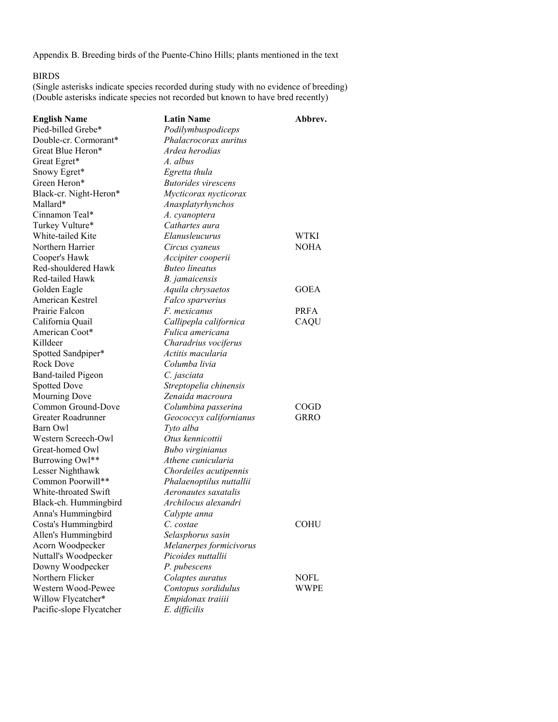Appendix B. Breeding birds of the Puente-Chino Hills; plants mentioned in the text

#### BIRDS

(Single asterisks indicate species recorded during study with no evidence of breeding) (Double asterisks indicate species not recorded but known to have bred recently)

| <b>English Name</b>       | <b>Latin Name</b>          | Abbrev.     |
|---------------------------|----------------------------|-------------|
| Pied-billed Grebe*        | Podilymbuspodiceps         |             |
| Double-cr. Cormorant*     | Phalacrocorax auritus      |             |
| Great Blue Heron*         | Ardea herodias             |             |
| Great Egret*              | A. albus                   |             |
| Snowy Egret*              | Egretta thula              |             |
| Green Heron*              | <b>Butorides virescens</b> |             |
| Black-cr. Night-Heron*    | Mycticorax nycticorax      |             |
| Mallard*                  | Anasplatyrhynchos          |             |
| Cinnamon Teal*            | A. cyanoptera              |             |
| Turkey Vulture*           | Cathartes aura             |             |
| White-tailed Kite         | Elanusleucurus             | WTKI        |
| Northern Harrier          | Circus cyaneus             | <b>NOHA</b> |
| Cooper's Hawk             | Accipiter cooperii         |             |
| Red-shouldered Hawk       | <b>Buteo lineatus</b>      |             |
| Red-tailed Hawk           | B. jamaicensis             |             |
| Golden Eagle              | Aquila chrysaetos          | <b>GOEA</b> |
| American Kestrel          | Falco sparverius           |             |
| Prairie Falcon            | F. mexicanus               | <b>PRFA</b> |
| California Quail          | Callipepla californica     | CAQU        |
| American Coot*            | Fulica americana           |             |
| Killdeer                  | Charadrius vociferus       |             |
| Spotted Sandpiper*        | Actitis macularia          |             |
| Rock Dove                 | Columba livia              |             |
| <b>Band-tailed Pigeon</b> | C. jasciata                |             |
| <b>Spotted Dove</b>       | Streptopelia chinensis     |             |
| Mourning Dove             | Zenaida macroura           |             |
| Common Ground-Dove        | Columbina passerina        | COGD        |
| Greater Roadrunner        | Geococcyx californianus    | <b>GRRO</b> |
| Barn Owl                  | Tyto alba                  |             |
| Western Screech-Owl       | Otus kennicottii           |             |
| Great-homed Owl           | Bubo virginianus           |             |
| Burrowing Owl**           | Athene cunicularia         |             |
| Lesser Nighthawk          | Chordeiles acutipennis     |             |
| Common Poorwill**         | Phalaenoptilus nuttallii   |             |
| White-throated Swift      | Aeronautes saxatalis       |             |
| Black-ch. Hummingbird     | Archilocus alexandri       |             |
| Anna's Hummingbird        | Calypte anna               |             |
| Costa's Hummingbird       | C. costae                  | COHU        |
| Allen's Hummingbird       | Selasphorus sasin          |             |
| Acorn Woodpecker          | Melanerpes formicivorus    |             |
| Nuttall's Woodpecker      | Picoides nuttallii         |             |
| Downy Woodpecker          | P. pubescens               |             |
| Northern Flicker          | Colaptes auratus           | NOFL        |
| Western Wood-Pewee        | Contopus sordidulus        | WWPE        |
| Willow Flycatcher*        | Empidonax traiiii          |             |
| Pacific-slope Flycatcher  | E. difficilis              |             |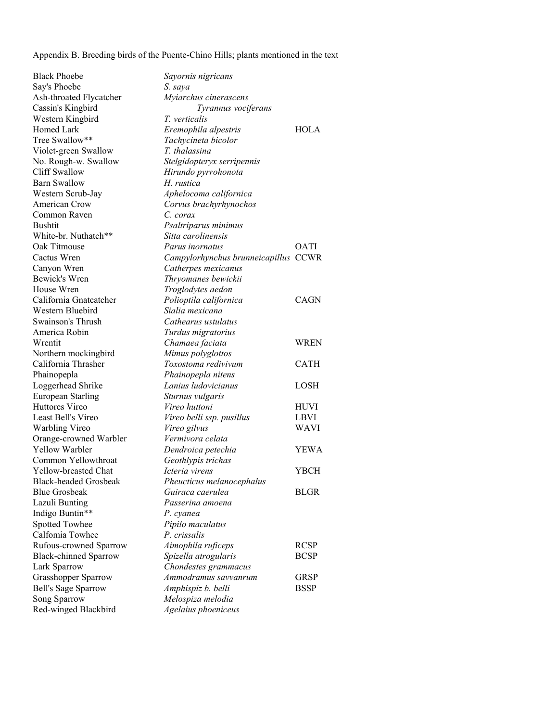Appendix B. Breeding birds of the Puente-Chino Hills; plants mentioned in the text

Black Phoebe *Sayornis nigricans* Say's Phoebe *S. saya* Ash-throated Flycatcher *Myiarchus cinerascens* Western Kingbird *T. verticalis* Violet-green Swallow *T. thalassina* No. Rough-w. Swallow *Stelgidopteryx serripennis* Cliff Swallow *Hirundo pyrrohonota* Barn Swallow *H. rustica* Western Scrub-Jay *Aphelocoma californica* American Crow *Corvus brachyrhynochos* Common Raven *C. corax* White-br. Nuthatch\*\* *Sitta carolinensis* Canyon Wren *Catherpes mexicanus* Bewick's Wren *Thryomanes bewickii* House Wren *Troglodytes aedon* Western Bluebird *Sialia mexicana* Swainson's Thrush *Cathearus ustulatus* America Robin *Turdus migratorius* Northern mockingbird *Mimus polyglottos* Phainopepla *Phainopepla nitens* European Starling *Sturnus vulgaris* Orange-crowned Warbler *Vermivora celata* Common Yellowthroat *Geothlypis trichas* Black-headed Grosbeak *Pheucticus melanocephalus* Lazuli Bunting *Passerina amoena* Indigo Buntin\*\* *P. cyanea* Spotted Towhee *Pipilo maculatus* Calfomia Towhee *P. crissalis* Lark Sparrow *Chondestes grammacus* Song Sparrow *Melospiza melodia* Red-winged Blackbird *Agelaius phoeniceus*

Cassin's Kingbird *Tyrannus vociferans* Homed Lark *Eremophila alpestris* HOLA<br>Tree Swallow\*\* *Tachvcineta bicolor*  $Tachvcineta bicolor$ Bushtit *Psaltriparus minimus* Oak Titmouse *Parus inornatus* OATI Cactus Wren *Campylorhynchus brunneicapillus* CCWR California Gnatcatcher *Polioptila californica* CAGN Wrentit *Chamaea faciata* WREN California Thrasher *Toxostoma redivivum* CATH Loggerhead Shrike *Lanius ludovicianus* LOSH Huttores Vireo *Vireo huttoni* HUVI Least Bell's Vireo *Vireo belli ssp. pusillus* LBVI Warbling Vireo *Vireo gilvus* WAVI Yellow Warbler *Dendroica petechia* YEWA Yellow-breasted Chat *Icteria virens* YBCH **Blue Grosbeak** *Guiraca caerulea* **BLGR** Rufous-crowned Sparrow *Aimophila ruficeps* RCSP Black-chinned Sparrow *Spizella atrogularis* BCSP Grasshopper Sparrow *Ammodramus savvanrum* GRSP Bell's Sage Sparrow *Amphispiz b. belli* BSSP